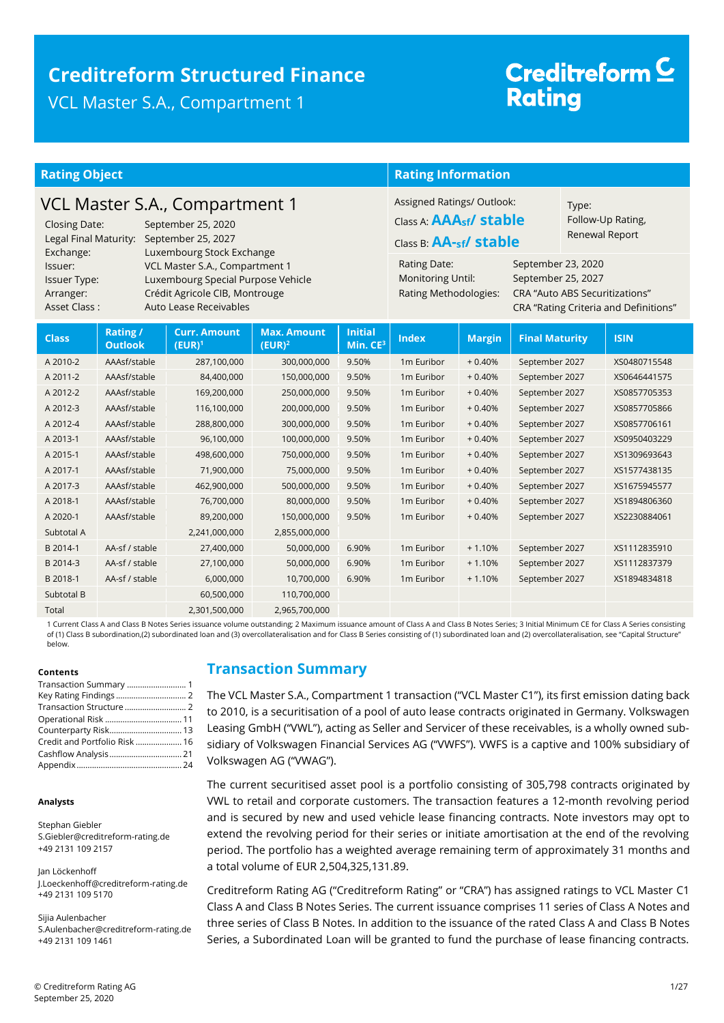### **Creditreform Structured Finance**  VCL Master S.A., Compartment 1

# Creditreform<sup>C</sup> **Rating**

| <b>Rating Object</b>                                                                                                                                                                                                                             |                                  |                                  |                                                                                                                                                                                                        | <b>Rating Information</b>                                                                                   |                        |                |                       |  |              |
|--------------------------------------------------------------------------------------------------------------------------------------------------------------------------------------------------------------------------------------------------|----------------------------------|----------------------------------|--------------------------------------------------------------------------------------------------------------------------------------------------------------------------------------------------------|-------------------------------------------------------------------------------------------------------------|------------------------|----------------|-----------------------|--|--------------|
| VCL Master S.A., Compartment 1<br><b>Closing Date:</b><br>September 25, 2020<br>Legal Final Maturity:<br>September 25, 2027                                                                                                                      |                                  |                                  |                                                                                                                                                                                                        | Assigned Ratings/ Outlook:<br>Type:<br>Class A: <b>AAA<sub>sf</sub>/ stable</b><br>Class B: $AA$ -sf stable |                        | Renewal Report | Follow-Up Rating,     |  |              |
| Luxembourg Stock Exchange<br>Exchange:<br>VCL Master S.A., Compartment 1<br>Issuer:<br>Luxembourg Special Purpose Vehicle<br><b>Issuer Type:</b><br>Crédit Agricole CIB, Montrouge<br>Arranger:<br><b>Asset Class:</b><br>Auto Lease Receivables |                                  |                                  | <b>Rating Date:</b><br>September 23, 2020<br><b>Monitoring Until:</b><br>September 25, 2027<br>Rating Methodologies:<br><b>CRA "Auto ABS Securitizations"</b><br>CRA "Rating Criteria and Definitions" |                                                                                                             |                        |                |                       |  |              |
| <b>Class</b>                                                                                                                                                                                                                                     | <b>Rating/</b><br><b>Outlook</b> | <b>Curr. Amount</b><br>$(EUR)^1$ | <b>Max. Amount</b><br>$(EUR)^2$                                                                                                                                                                        | <b>Initial</b><br>Min. CE <sup>3</sup>                                                                      | <b>Index</b>           | <b>Margin</b>  | <b>Final Maturity</b> |  | <b>ISIN</b>  |
| A 2010-2                                                                                                                                                                                                                                         | AAAsf/stable                     | 287,100,000                      | 300,000,000                                                                                                                                                                                            | 9.50%                                                                                                       | 1m Euribor             | $+0.40%$       | September 2027        |  | XS0480715548 |
| A 2011-2                                                                                                                                                                                                                                         | AAAsf/stable                     | 84,400,000                       | 150,000,000                                                                                                                                                                                            | 9.50%                                                                                                       | 1m Euribor             | $+0.40%$       | September 2027        |  | XS0646441575 |
| A 2012-2                                                                                                                                                                                                                                         | AAAsf/stable                     | 169,200,000                      | 250,000,000                                                                                                                                                                                            | 9.50%                                                                                                       | 1 <sub>m</sub> Euribor | $+0.40%$       | September 2027        |  | XS0857705353 |
| A 2012-3                                                                                                                                                                                                                                         | AAAsf/stable                     | 116,100,000                      | 200,000,000                                                                                                                                                                                            | 9.50%                                                                                                       | 1 <sub>m</sub> Euribor | $+0.40%$       | September 2027        |  | XS0857705866 |
| A 2012-4                                                                                                                                                                                                                                         | AAAsf/stable                     | 288,800,000                      | 300,000,000                                                                                                                                                                                            | 9.50%                                                                                                       | 1m Euribor             | $+0.40%$       | September 2027        |  | XS0857706161 |
| A 2013-1                                                                                                                                                                                                                                         | AAAsf/stable                     | 96,100,000                       | 100,000,000                                                                                                                                                                                            | 9.50%                                                                                                       | 1m Euribor             | $+0.40%$       | September 2027        |  | XS0950403229 |
| A 2015-1                                                                                                                                                                                                                                         | AAAsf/stable                     | 498,600,000                      | 750,000,000                                                                                                                                                                                            | 9.50%                                                                                                       | 1m Euribor             | $+0.40%$       | September 2027        |  | XS1309693643 |
| A 2017-1                                                                                                                                                                                                                                         | AAAsf/stable                     | 71,900,000                       | 75,000,000                                                                                                                                                                                             | 9.50%                                                                                                       | 1 <sub>m</sub> Euribor | $+0.40%$       | September 2027        |  | XS1577438135 |
| A 2017-3                                                                                                                                                                                                                                         | AAAsf/stable                     | 462,900,000                      | 500,000,000                                                                                                                                                                                            | 9.50%                                                                                                       | 1m Euribor             | $+0.40%$       | September 2027        |  | XS1675945577 |
| A 2018-1                                                                                                                                                                                                                                         | AAAsf/stable                     | 76,700,000                       | 80,000,000                                                                                                                                                                                             | 9.50%                                                                                                       | 1m Euribor             | $+0.40%$       | September 2027        |  | XS1894806360 |
| A 2020-1                                                                                                                                                                                                                                         | AAAsf/stable                     | 89,200,000                       | 150,000,000                                                                                                                                                                                            | 9.50%                                                                                                       | 1m Euribor             | $+0.40%$       | September 2027        |  | XS2230884061 |
| Subtotal A                                                                                                                                                                                                                                       |                                  | 2,241,000,000                    | 2,855,000,000                                                                                                                                                                                          |                                                                                                             |                        |                |                       |  |              |
| B 2014-1                                                                                                                                                                                                                                         | AA-sf / stable                   | 27,400,000                       | 50,000,000                                                                                                                                                                                             | 6.90%                                                                                                       | 1m Euribor             | $+1.10%$       | September 2027        |  | XS1112835910 |
| B 2014-3                                                                                                                                                                                                                                         | AA-sf / stable                   | 27,100,000                       | 50,000,000                                                                                                                                                                                             | 6.90%                                                                                                       | 1m Euribor             | $+1.10%$       | September 2027        |  | XS1112837379 |
| B 2018-1                                                                                                                                                                                                                                         | AA-sf / stable                   | 6,000,000                        | 10,700,000                                                                                                                                                                                             | 6.90%                                                                                                       | 1m Euribor             | $+1.10%$       | September 2027        |  | XS1894834818 |
| Subtotal B                                                                                                                                                                                                                                       |                                  | 60,500,000                       | 110,700,000                                                                                                                                                                                            |                                                                                                             |                        |                |                       |  |              |
| Total                                                                                                                                                                                                                                            |                                  | 2,301,500,000                    | 2,965,700,000                                                                                                                                                                                          |                                                                                                             |                        |                |                       |  |              |

1 Current Class A and Class B Notes Series issuance volume outstanding; 2 Maximum issuance amount of Class A and Class B Notes Series; 3 Initial Minimum CE for Class A Series consisting of (1) Class B subordination,(2) subordinated loan and (3) overcollateralisation and for Class B Series consisting of (1) subordinated loan and (2) overcollateralisation, see "Capital Structure" below.

#### **Contents**

| Transaction Summary  1        |  |
|-------------------------------|--|
| Key Rating Findings  2        |  |
|                               |  |
|                               |  |
|                               |  |
| Credit and Portfolio Risk  16 |  |
|                               |  |
|                               |  |

#### **Analysts**

Stephan Giebler S.Giebler@creditreform-rating.de +49 2131 109 2157

Jan Löckenhoff J.Loeckenhoff@creditreform-rating.de +49 2131 109 5170

Sijia Aulenbacher S.Aulenbacher@creditreform-rating.de +49 2131 109 1461

### <span id="page-0-0"></span>**Transaction Summary**

The VCL Master S.A., Compartment 1 transaction ("VCL Master C1"), its first emission dating back to 2010, is a securitisation of a pool of auto lease contracts originated in Germany. Volkswagen Leasing GmbH ("VWL"), acting as Seller and Servicer of these receivables, is a wholly owned subsidiary of Volkswagen Financial Services AG ("VWFS"). VWFS is a captive and 100% subsidiary of Volkswagen AG ("VWAG").

The current securitised asset pool is a portfolio consisting of 305,798 contracts originated by VWL to retail and corporate customers. The transaction features a 12-month revolving period and is secured by new and used vehicle lease financing contracts. Note investors may opt to extend the revolving period for their series or initiate amortisation at the end of the revolving period. The portfolio has a weighted average remaining term of approximately 31 months and a total volume of EUR 2,504,325,131.89.

Creditreform Rating AG ("Creditreform Rating" or "CRA") has assigned ratings to VCL Master C1 Class A and Class B Notes Series. The current issuance comprises 11 series of Class A Notes and three series of Class B Notes. In addition to the issuance of the rated Class A and Class B Notes Series, a Subordinated Loan will be granted to fund the purchase of lease financing contracts.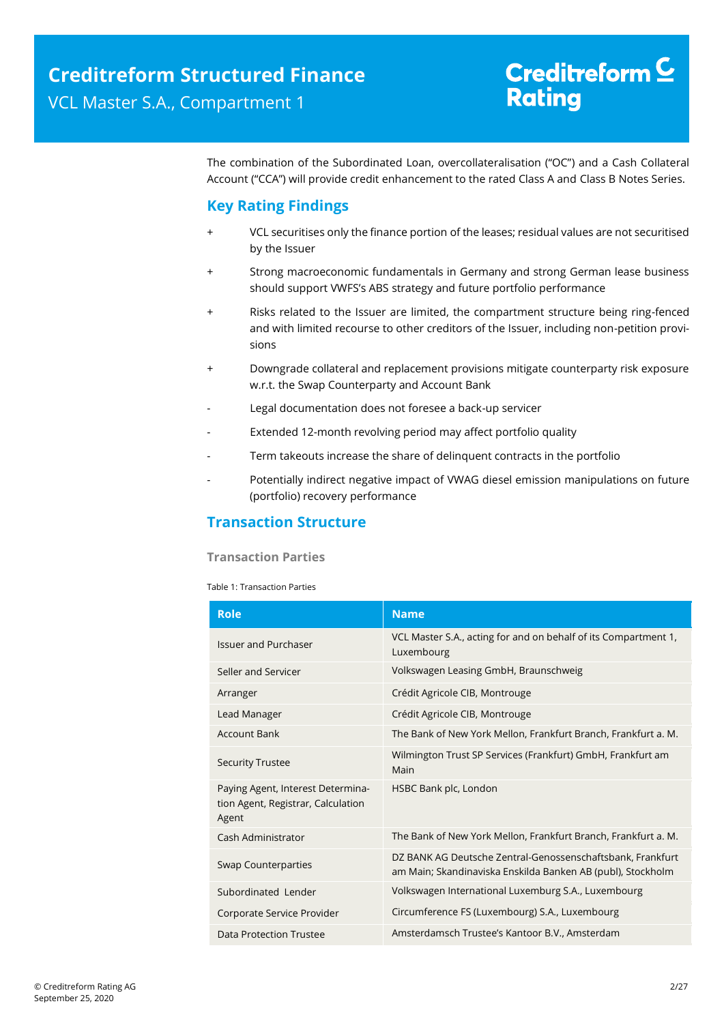The combination of the Subordinated Loan, overcollateralisation ("OC") and a Cash Collateral Account ("CCA") will provide credit enhancement to the rated Class A and Class B Notes Series.

### <span id="page-1-0"></span>**Key Rating Findings**

- VCL securitises only the finance portion of the leases; residual values are not securitised by the Issuer
- + Strong macroeconomic fundamentals in Germany and strong German lease business should support VWFS's ABS strategy and future portfolio performance
- + Risks related to the Issuer are limited, the compartment structure being ring-fenced and with limited recourse to other creditors of the Issuer, including non-petition provisions
- + Downgrade collateral and replacement provisions mitigate counterparty risk exposure w.r.t. the Swap Counterparty and Account Bank
- Legal documentation does not foresee a back-up servicer
- Extended 12-month revolving period may affect portfolio quality
- Term takeouts increase the share of delinquent contracts in the portfolio
- <span id="page-1-1"></span>Potentially indirect negative impact of VWAG diesel emission manipulations on future (portfolio) recovery performance

### **Transaction Structure**

### **Transaction Parties**

Table 1: Transaction Parties

| <b>Role</b>                                                                      | <b>Name</b>                                                                                                               |  |  |
|----------------------------------------------------------------------------------|---------------------------------------------------------------------------------------------------------------------------|--|--|
| <b>Issuer and Purchaser</b>                                                      | VCL Master S.A., acting for and on behalf of its Compartment 1,<br>Luxembourg                                             |  |  |
| Seller and Servicer                                                              | Volkswagen Leasing GmbH, Braunschweig                                                                                     |  |  |
| Arranger                                                                         | Crédit Agricole CIB, Montrouge                                                                                            |  |  |
| Lead Manager                                                                     | Crédit Agricole CIB, Montrouge                                                                                            |  |  |
| <b>Account Bank</b>                                                              | The Bank of New York Mellon, Frankfurt Branch, Frankfurt a. M.                                                            |  |  |
| <b>Security Trustee</b>                                                          | Wilmington Trust SP Services (Frankfurt) GmbH, Frankfurt am<br>Main                                                       |  |  |
| Paying Agent, Interest Determina-<br>tion Agent, Registrar, Calculation<br>Agent | HSBC Bank plc, London                                                                                                     |  |  |
| Cash Administrator                                                               | The Bank of New York Mellon, Frankfurt Branch, Frankfurt a. M.                                                            |  |  |
| <b>Swap Counterparties</b>                                                       | DZ BANK AG Deutsche Zentral-Genossenschaftsbank, Frankfurt<br>am Main; Skandinaviska Enskilda Banken AB (publ), Stockholm |  |  |
| Subordinated Lender                                                              | Volkswagen International Luxemburg S.A., Luxembourg                                                                       |  |  |
| Corporate Service Provider                                                       | Circumference FS (Luxembourg) S.A., Luxembourg                                                                            |  |  |
| Data Protection Trustee                                                          | Amsterdamsch Trustee's Kantoor B.V., Amsterdam                                                                            |  |  |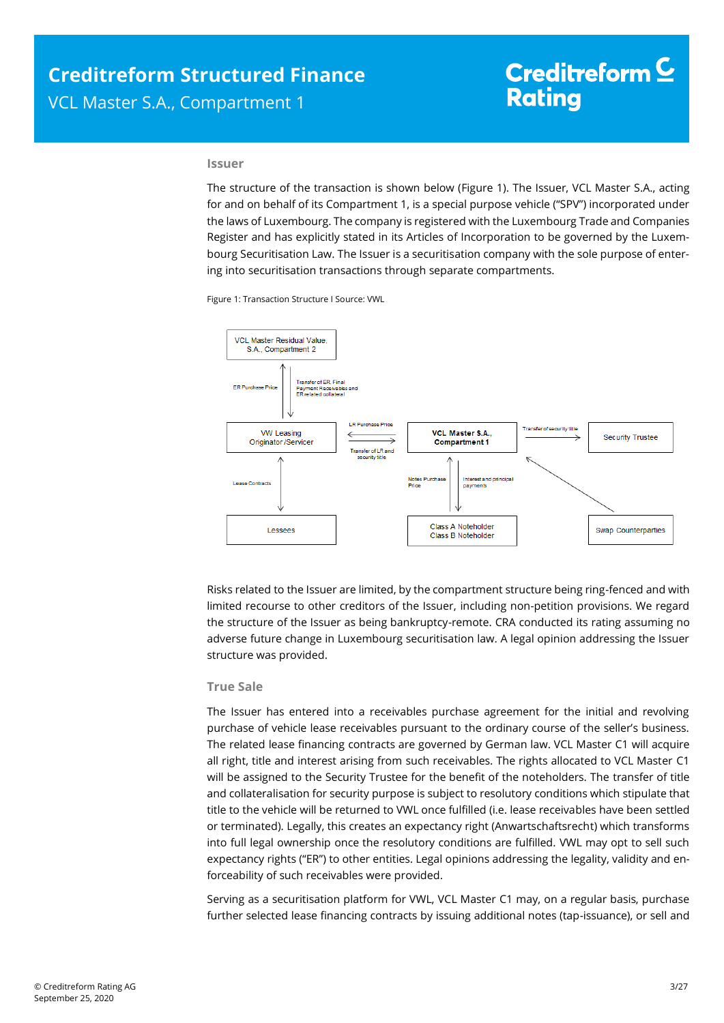#### **Issuer**

The structure of the transaction is shown below [\(Figure 1\)](#page-2-0). The Issuer, VCL Master S.A., acting for and on behalf of its Compartment 1, is a special purpose vehicle ("SPV") incorporated under the laws of Luxembourg. The company is registered with the Luxembourg Trade and Companies Register and has explicitly stated in its Articles of Incorporation to be governed by the Luxembourg Securitisation Law. The Issuer is a securitisation company with the sole purpose of entering into securitisation transactions through separate compartments.

Figure 1: Transaction Structure I Source: VWL

<span id="page-2-0"></span>

Risks related to the Issuer are limited, by the compartment structure being ring-fenced and with limited recourse to other creditors of the Issuer, including non-petition provisions. We regard the structure of the Issuer as being bankruptcy-remote. CRA conducted its rating assuming no adverse future change in Luxembourg securitisation law. A legal opinion addressing the Issuer structure was provided.

### **True Sale**

The Issuer has entered into a receivables purchase agreement for the initial and revolving purchase of vehicle lease receivables pursuant to the ordinary course of the seller's business. The related lease financing contracts are governed by German law. VCL Master C1 will acquire all right, title and interest arising from such receivables. The rights allocated to VCL Master C1 will be assigned to the Security Trustee for the benefit of the noteholders. The transfer of title and collateralisation for security purpose is subject to resolutory conditions which stipulate that title to the vehicle will be returned to VWL once fulfilled (i.e. lease receivables have been settled or terminated). Legally, this creates an expectancy right (Anwartschaftsrecht) which transforms into full legal ownership once the resolutory conditions are fulfilled. VWL may opt to sell such expectancy rights ("ER") to other entities. Legal opinions addressing the legality, validity and enforceability of such receivables were provided.

Serving as a securitisation platform for VWL, VCL Master C1 may, on a regular basis, purchase further selected lease financing contracts by issuing additional notes (tap-issuance), or sell and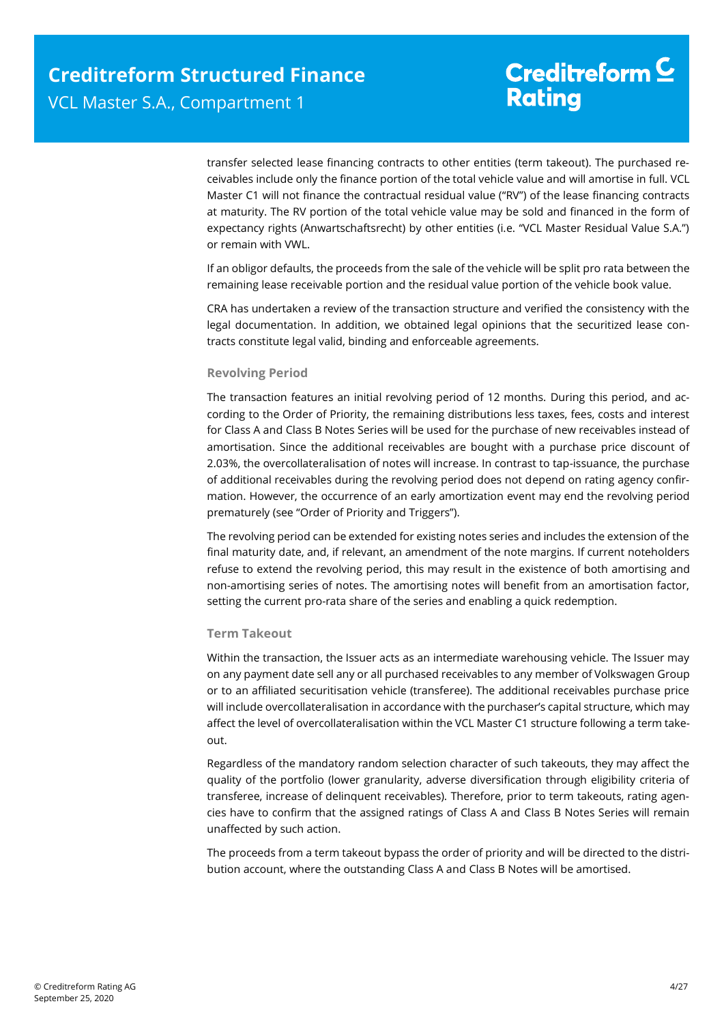transfer selected lease financing contracts to other entities (term takeout). The purchased receivables include only the finance portion of the total vehicle value and will amortise in full. VCL Master C1 will not finance the contractual residual value ("RV") of the lease financing contracts at maturity. The RV portion of the total vehicle value may be sold and financed in the form of expectancy rights (Anwartschaftsrecht) by other entities (i.e. "VCL Master Residual Value S.A.") or remain with VWL.

If an obligor defaults, the proceeds from the sale of the vehicle will be split pro rata between the remaining lease receivable portion and the residual value portion of the vehicle book value.

CRA has undertaken a review of the transaction structure and verified the consistency with the legal documentation. In addition, we obtained legal opinions that the securitized lease contracts constitute legal valid, binding and enforceable agreements.

### **Revolving Period**

The transaction features an initial revolving period of 12 months. During this period, and according to the Order of Priority, the remaining distributions less taxes, fees, costs and interest for Class A and Class B Notes Series will be used for the purchase of new receivables instead of amortisation. Since the additional receivables are bought with a purchase price discount of 2.03%, the overcollateralisation of notes will increase. In contrast to tap-issuance, the purchase of additional receivables during the revolving period does not depend on rating agency confirmation. However, the occurrence of an early amortization event may end the revolving period prematurely (see "Order of Priority and Triggers").

The revolving period can be extended for existing notes series and includes the extension of the final maturity date, and, if relevant, an amendment of the note margins. If current noteholders refuse to extend the revolving period, this may result in the existence of both amortising and non-amortising series of notes. The amortising notes will benefit from an amortisation factor, setting the current pro-rata share of the series and enabling a quick redemption.

### **Term Takeout**

Within the transaction, the Issuer acts as an intermediate warehousing vehicle. The Issuer may on any payment date sell any or all purchased receivables to any member of Volkswagen Group or to an affiliated securitisation vehicle (transferee). The additional receivables purchase price will include overcollateralisation in accordance with the purchaser's capital structure, which may affect the level of overcollateralisation within the VCL Master C1 structure following a term takeout.

Regardless of the mandatory random selection character of such takeouts, they may affect the quality of the portfolio (lower granularity, adverse diversification through eligibility criteria of transferee, increase of delinquent receivables). Therefore, prior to term takeouts, rating agencies have to confirm that the assigned ratings of Class A and Class B Notes Series will remain unaffected by such action.

The proceeds from a term takeout bypass the order of priority and will be directed to the distribution account, where the outstanding Class A and Class B Notes will be amortised.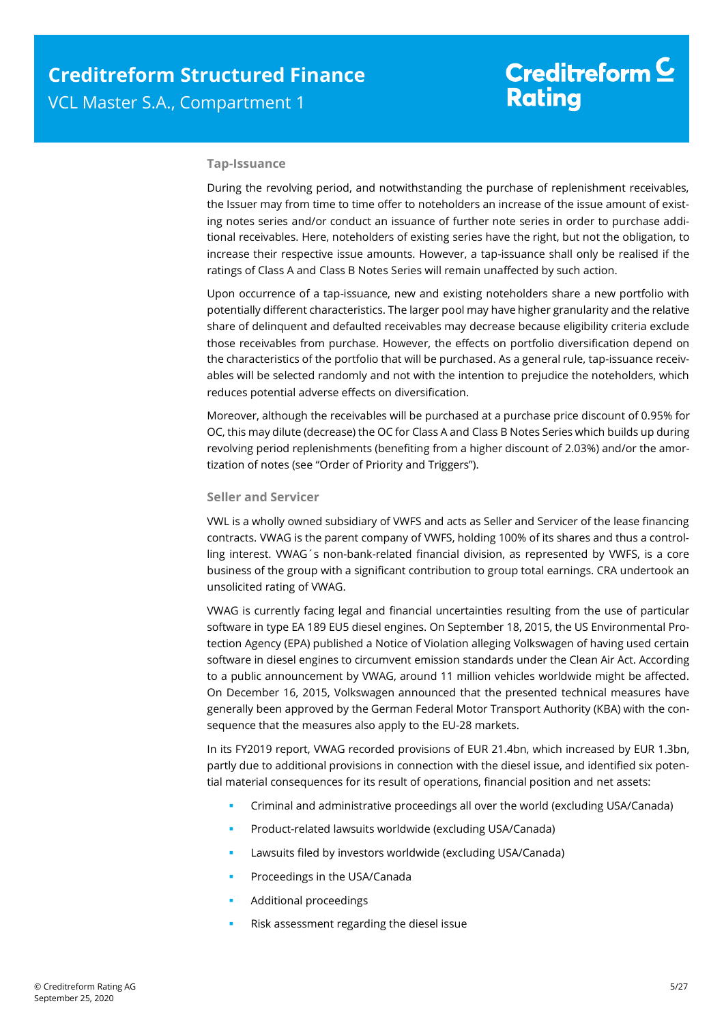### **Tap-Issuance**

During the revolving period, and notwithstanding the purchase of replenishment receivables, the Issuer may from time to time offer to noteholders an increase of the issue amount of existing notes series and/or conduct an issuance of further note series in order to purchase additional receivables. Here, noteholders of existing series have the right, but not the obligation, to increase their respective issue amounts. However, a tap-issuance shall only be realised if the ratings of Class A and Class B Notes Series will remain unaffected by such action.

Upon occurrence of a tap-issuance, new and existing noteholders share a new portfolio with potentially different characteristics. The larger pool may have higher granularity and the relative share of delinquent and defaulted receivables may decrease because eligibility criteria exclude those receivables from purchase. However, the effects on portfolio diversification depend on the characteristics of the portfolio that will be purchased. As a general rule, tap-issuance receivables will be selected randomly and not with the intention to prejudice the noteholders, which reduces potential adverse effects on diversification.

Moreover, although the receivables will be purchased at a purchase price discount of 0.95% for OC, this may dilute (decrease) the OC for Class A and Class B Notes Series which builds up during revolving period replenishments (benefiting from a higher discount of 2.03%) and/or the amortization of notes (see "Order of Priority and Triggers").

#### **Seller and Servicer**

VWL is a wholly owned subsidiary of VWFS and acts as Seller and Servicer of the lease financing contracts. VWAG is the parent company of VWFS, holding 100% of its shares and thus a controlling interest. VWAG´s non-bank-related financial division, as represented by VWFS, is a core business of the group with a significant contribution to group total earnings. CRA undertook an unsolicited rating of VWAG.

VWAG is currently facing legal and financial uncertainties resulting from the use of particular software in type EA 189 EU5 diesel engines. On September 18, 2015, the US Environmental Protection Agency (EPA) published a Notice of Violation alleging Volkswagen of having used certain software in diesel engines to circumvent emission standards under the Clean Air Act. According to a public announcement by VWAG, around 11 million vehicles worldwide might be affected. On December 16, 2015, Volkswagen announced that the presented technical measures have generally been approved by the German Federal Motor Transport Authority (KBA) with the consequence that the measures also apply to the EU-28 markets.

In its FY2019 report, VWAG recorded provisions of EUR 21.4bn, which increased by EUR 1.3bn, partly due to additional provisions in connection with the diesel issue, and identified six potential material consequences for its result of operations, financial position and net assets:

- Criminal and administrative proceedings all over the world (excluding USA/Canada)
- Product-related lawsuits worldwide (excluding USA/Canada)
- Lawsuits filed by investors worldwide (excluding USA/Canada)
- Proceedings in the USA/Canada
- Additional proceedings
- Risk assessment regarding the diesel issue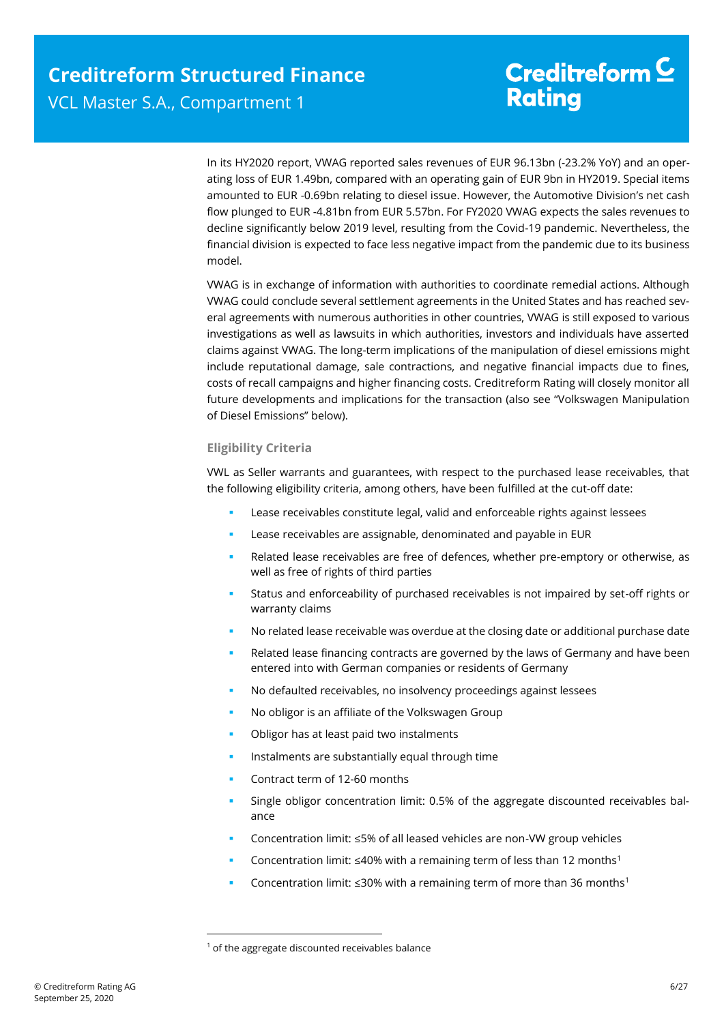In its HY2020 report, VWAG reported sales revenues of EUR 96.13bn (-23.2% YoY) and an operating loss of EUR 1.49bn, compared with an operating gain of EUR 9bn in HY2019. Special items amounted to EUR -0.69bn relating to diesel issue. However, the Automotive Division's net cash flow plunged to EUR -4.81bn from EUR 5.57bn. For FY2020 VWAG expects the sales revenues to decline significantly below 2019 level, resulting from the Covid-19 pandemic. Nevertheless, the financial division is expected to face less negative impact from the pandemic due to its business model.

VWAG is in exchange of information with authorities to coordinate remedial actions. Although VWAG could conclude several settlement agreements in the United States and has reached several agreements with numerous authorities in other countries, VWAG is still exposed to various investigations as well as lawsuits in which authorities, investors and individuals have asserted claims against VWAG. The long-term implications of the manipulation of diesel emissions might include reputational damage, sale contractions, and negative financial impacts due to fines, costs of recall campaigns and higher financing costs. Creditreform Rating will closely monitor all future developments and implications for the transaction (also see "Volkswagen Manipulation of Diesel Emissions" below).

### **Eligibility Criteria**

VWL as Seller warrants and guarantees, with respect to the purchased lease receivables, that the following eligibility criteria, among others, have been fulfilled at the cut-off date:

- Lease receivables constitute legal, valid and enforceable rights against lessees
- Lease receivables are assignable, denominated and payable in EUR
- Related lease receivables are free of defences, whether pre-emptory or otherwise, as well as free of rights of third parties
- Status and enforceability of purchased receivables is not impaired by set-off rights or warranty claims
- No related lease receivable was overdue at the closing date or additional purchase date
- Related lease financing contracts are governed by the laws of Germany and have been entered into with German companies or residents of Germany
- No defaulted receivables, no insolvency proceedings against lessees
- No obligor is an affiliate of the Volkswagen Group
- Obligor has at least paid two instalments
- Instalments are substantially equal through time
- Contract term of 12-60 months
- Single obligor concentration limit: 0.5% of the aggregate discounted receivables balance
- Concentration limit: ≤5% of all leased vehicles are non-VW group vehicles
- Concentration limit: ≤40% with a remaining term of less than 12 months<sup>1</sup>
- Concentration limit:  $\leq$ 30% with a remaining term of more than 36 months<sup>1</sup>

1

<sup>&</sup>lt;sup>1</sup> of the aggregate discounted receivables balance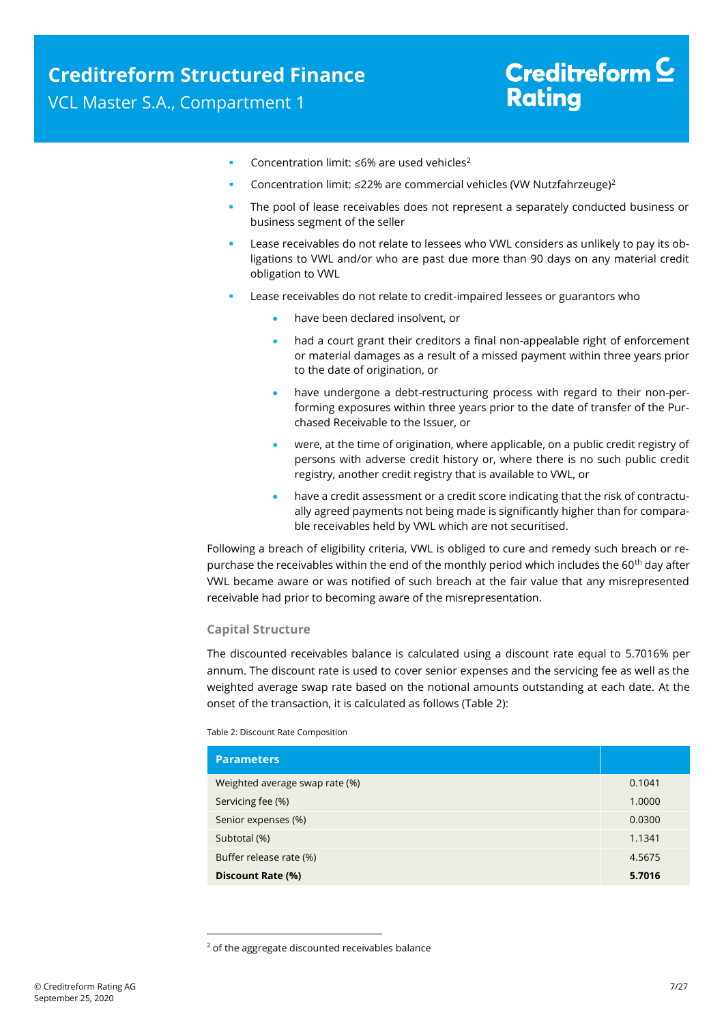- Concentration limit: ≤6% are used vehicles<sup>2</sup>
- Concentration limit: ≤22% are commercial vehicles (VW Nutzfahrzeuge)<sup>2</sup>
- The pool of lease receivables does not represent a separately conducted business or business segment of the seller
- Lease receivables do not relate to lessees who VWL considers as unlikely to pay its obligations to VWL and/or who are past due more than 90 days on any material credit obligation to VWL
- Lease receivables do not relate to credit-impaired lessees or guarantors who
	- have been declared insolvent, or
	- had a court grant their creditors a final non-appealable right of enforcement or material damages as a result of a missed payment within three years prior to the date of origination, or
	- have undergone a debt-restructuring process with regard to their non-performing exposures within three years prior to the date of transfer of the Purchased Receivable to the Issuer, or
	- were, at the time of origination, where applicable, on a public credit registry of persons with adverse credit history or, where there is no such public credit registry, another credit registry that is available to VWL, or
	- have a credit assessment or a credit score indicating that the risk of contractually agreed payments not being made is significantly higher than for comparable receivables held by VWL which are not securitised.

Following a breach of eligibility criteria, VWL is obliged to cure and remedy such breach or repurchase the receivables within the end of the monthly period which includes the 60<sup>th</sup> day after VWL became aware or was notified of such breach at the fair value that any misrepresented receivable had prior to becoming aware of the misrepresentation.

### **Capital Structure**

The discounted receivables balance is calculated using a discount rate equal to 5.7016% per annum. The discount rate is used to cover senior expenses and the servicing fee as well as the weighted average swap rate based on the notional amounts outstanding at each date. At the onset of the transaction, it is calculated as follows [\(Table 2\)](#page-6-0):

<span id="page-6-0"></span>Table 2: Discount Rate Composition

1

| <b>Parameters</b>              |        |
|--------------------------------|--------|
| Weighted average swap rate (%) | 0.1041 |
| Servicing fee (%)              | 1.0000 |
| Senior expenses (%)            | 0.0300 |
| Subtotal (%)                   | 1.1341 |
| Buffer release rate (%)        | 4.5675 |
| Discount Rate (%)              | 5.7016 |

<sup>&</sup>lt;sup>2</sup> of the aggregate discounted receivables balance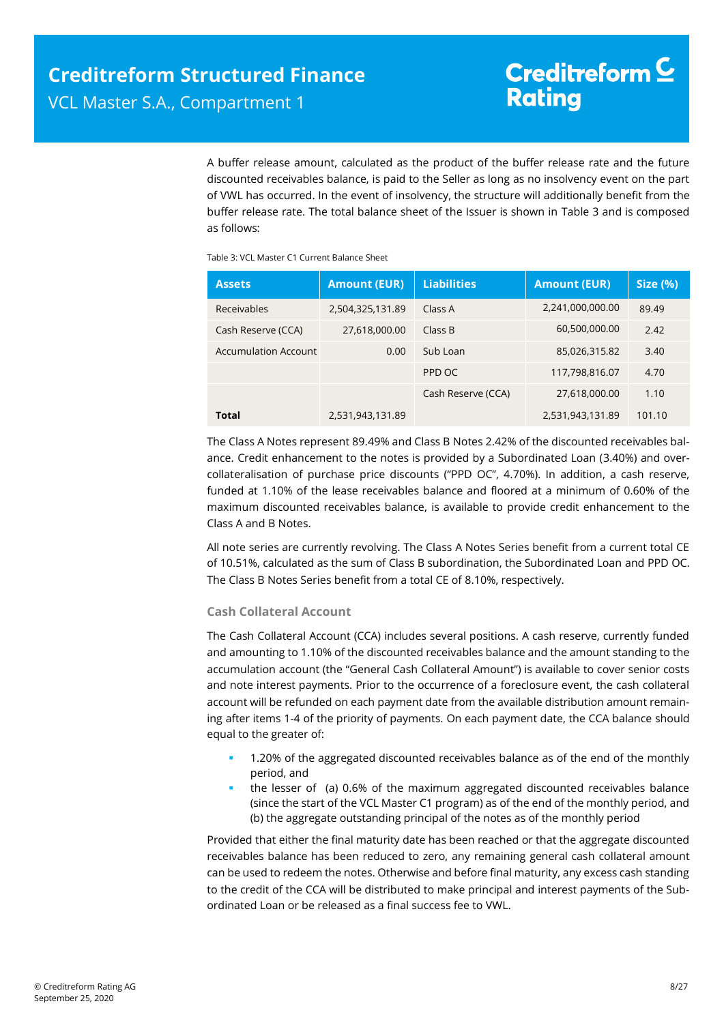A buffer release amount, calculated as the product of the buffer release rate and the future discounted receivables balance, is paid to the Seller as long as no insolvency event on the part of VWL has occurred. In the event of insolvency, the structure will additionally benefit from the buffer release rate. The total balance sheet of the Issuer is shown in [Table 3](#page-7-0) and is composed as follows:

<span id="page-7-0"></span>Table 3: VCL Master C1 Current Balance Sheet

| <b>Assets</b>               | <b>Amount (EUR)</b> | <b>Liabilities</b> | <b>Amount (EUR)</b> | <b>Size (%)</b> |
|-----------------------------|---------------------|--------------------|---------------------|-----------------|
| <b>Receivables</b>          | 2,504,325,131.89    | Class A            | 2,241,000,000.00    | 89.49           |
| Cash Reserve (CCA)          | 27,618,000.00       | Class B            | 60,500,000.00       | 2.42            |
| <b>Accumulation Account</b> | 0.00                | Sub Loan           | 85,026,315.82       | 3.40            |
|                             |                     | PPD OC             | 117,798,816.07      | 4.70            |
|                             |                     | Cash Reserve (CCA) | 27,618,000.00       | 1.10            |
| Total                       | 2,531,943,131.89    |                    | 2,531,943,131.89    | 101.10          |

The Class A Notes represent 89.49% and Class B Notes 2.42% of the discounted receivables balance. Credit enhancement to the notes is provided by a Subordinated Loan (3.40%) and overcollateralisation of purchase price discounts ("PPD OC", 4.70%). In addition, a cash reserve, funded at 1.10% of the lease receivables balance and floored at a minimum of 0.60% of the maximum discounted receivables balance, is available to provide credit enhancement to the Class A and B Notes.

All note series are currently revolving. The Class A Notes Series benefit from a current total CE of 10.51%, calculated as the sum of Class B subordination, the Subordinated Loan and PPD OC. The Class B Notes Series benefit from a total CE of 8.10%, respectively.

### **Cash Collateral Account**

The Cash Collateral Account (CCA) includes several positions. A cash reserve, currently funded and amounting to 1.10% of the discounted receivables balance and the amount standing to the accumulation account (the "General Cash Collateral Amount") is available to cover senior costs and note interest payments. Prior to the occurrence of a foreclosure event, the cash collateral account will be refunded on each payment date from the available distribution amount remaining after items 1-4 of the priority of payments. On each payment date, the CCA balance should equal to the greater of:

- 1.20% of the aggregated discounted receivables balance as of the end of the monthly period, and
- the lesser of (a) 0.6% of the maximum aggregated discounted receivables balance (since the start of the VCL Master C1 program) as of the end of the monthly period, and (b) the aggregate outstanding principal of the notes as of the monthly period

Provided that either the final maturity date has been reached or that the aggregate discounted receivables balance has been reduced to zero, any remaining general cash collateral amount can be used to redeem the notes. Otherwise and before final maturity, any excess cash standing to the credit of the CCA will be distributed to make principal and interest payments of the Subordinated Loan or be released as a final success fee to VWL.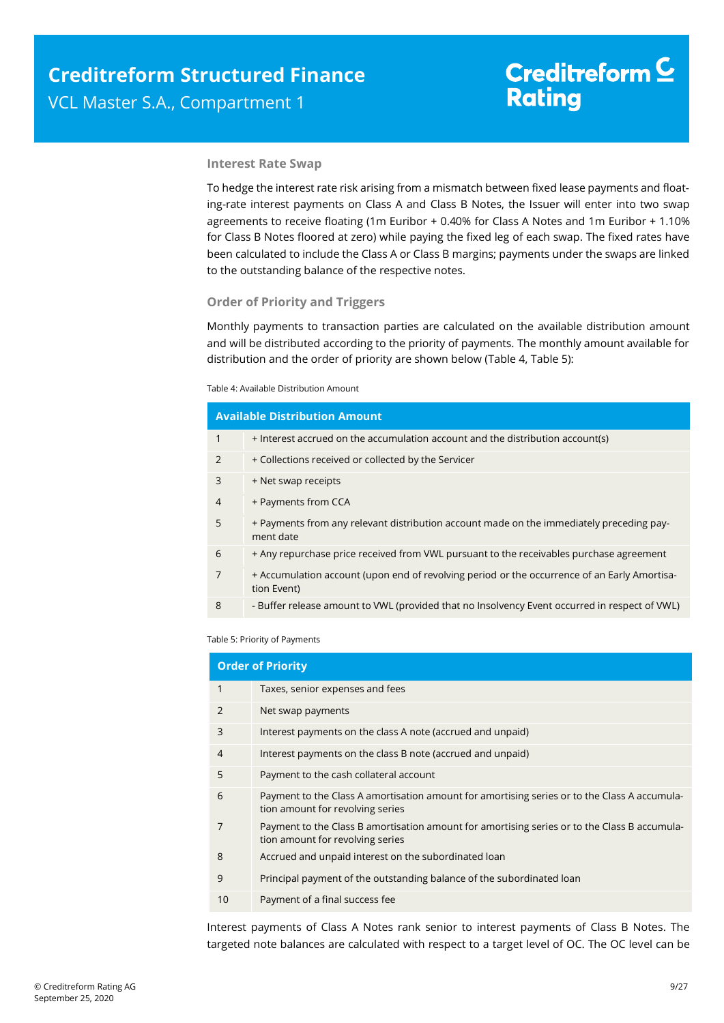### **Interest Rate Swap**

To hedge the interest rate risk arising from a mismatch between fixed lease payments and floating-rate interest payments on Class A and Class B Notes, the Issuer will enter into two swap agreements to receive floating (1m Euribor + 0.40% for Class A Notes and 1m Euribor + 1.10% for Class B Notes floored at zero) while paying the fixed leg of each swap. The fixed rates have been calculated to include the Class A or Class B margins; payments under the swaps are linked to the outstanding balance of the respective notes.

### **Order of Priority and Triggers**

Monthly payments to transaction parties are calculated on the available distribution amount and will be distributed according to the priority of payments. The monthly amount available for distribution and the order of priority are shown below [\(Table 4,](#page-8-0) [Table 5\)](#page-8-1):

#### <span id="page-8-0"></span>Table 4: Available Distribution Amount

|                | <b>Available Distribution Amount</b>                                                                        |
|----------------|-------------------------------------------------------------------------------------------------------------|
| $\mathbf{1}$   | + Interest accrued on the accumulation account and the distribution account(s)                              |
| 2              | + Collections received or collected by the Servicer                                                         |
| 3              | + Net swap receipts                                                                                         |
| $\overline{4}$ | + Payments from CCA                                                                                         |
| 5              | + Payments from any relevant distribution account made on the immediately preceding pay-<br>ment date       |
| 6              | + Any repurchase price received from VWL pursuant to the receivables purchase agreement                     |
| $\overline{7}$ | + Accumulation account (upon end of revolving period or the occurrence of an Early Amortisa-<br>tion Event) |
| 8              | - Buffer release amount to VWL (provided that no Insolvency Event occurred in respect of VWL)               |

<span id="page-8-1"></span>Table 5: Priority of Payments

|                | <b>Order of Priority</b>                                                                                                         |
|----------------|----------------------------------------------------------------------------------------------------------------------------------|
| 1              | Taxes, senior expenses and fees                                                                                                  |
| $\mathfrak{D}$ | Net swap payments                                                                                                                |
| 3              | Interest payments on the class A note (accrued and unpaid)                                                                       |
| 4              | Interest payments on the class B note (accrued and unpaid)                                                                       |
| 5              | Payment to the cash collateral account                                                                                           |
| 6              | Payment to the Class A amortisation amount for amortising series or to the Class A accumula-<br>tion amount for revolving series |
|                | Payment to the Class B amortisation amount for amortising series or to the Class B accumula-<br>tion amount for revolving series |
| 8              | Accrued and unpaid interest on the subordinated loan                                                                             |
| 9              | Principal payment of the outstanding balance of the subordinated loan                                                            |
| 10             | Payment of a final success fee                                                                                                   |

Interest payments of Class A Notes rank senior to interest payments of Class B Notes. The targeted note balances are calculated with respect to a target level of OC. The OC level can be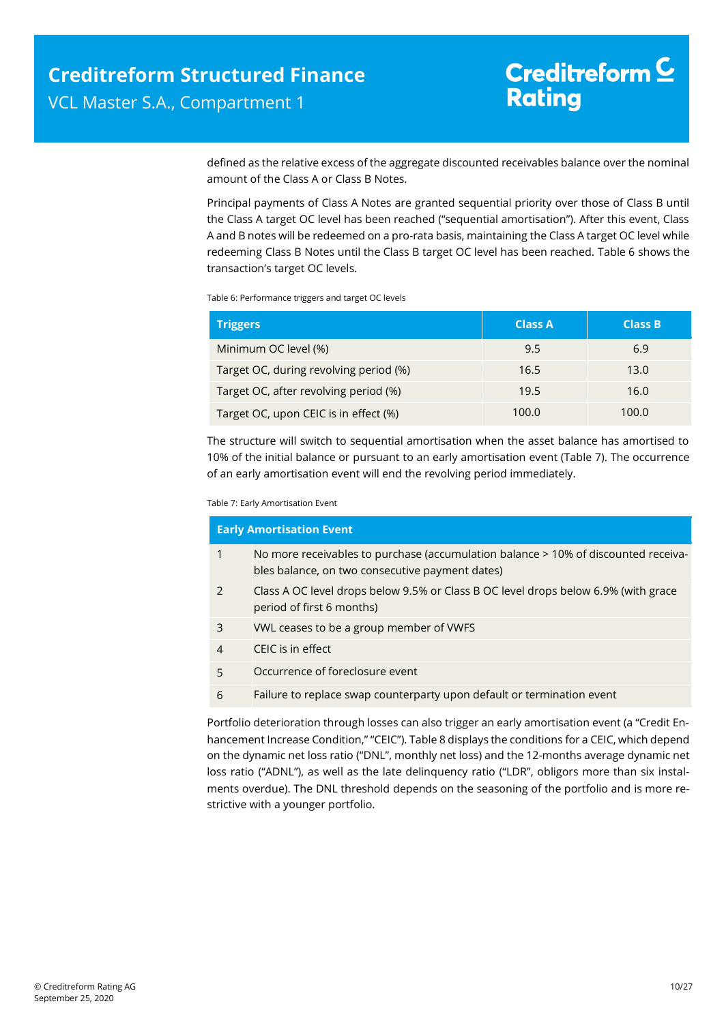defined as the relative excess of the aggregate discounted receivables balance over the nominal amount of the Class A or Class B Notes.

Principal payments of Class A Notes are granted sequential priority over those of Class B until the Class A target OC level has been reached ("sequential amortisation"). After this event, Class A and B notes will be redeemed on a pro-rata basis, maintaining the Class A target OC level while redeeming Class B Notes until the Class B target OC level has been reached. [Table 6](#page-9-0) shows the transaction's target OC levels.

<span id="page-9-0"></span>Table 6: Performance triggers and target OC levels

| <b>Triggers</b>                        | <b>Class A</b> | <b>Class B</b> |
|----------------------------------------|----------------|----------------|
| Minimum OC level (%)                   | 9.5            | 6.9            |
| Target OC, during revolving period (%) | 16.5           | 13.0           |
| Target OC, after revolving period (%)  | 19.5           | 16.0           |
| Target OC, upon CEIC is in effect (%)  | 100.0          | 100.0          |

The structure will switch to sequential amortisation when the asset balance has amortised to 10% of the initial balance or pursuant to an early amortisation event [\(Table 7\)](#page-9-1). The occurrence of an early amortisation event will end the revolving period immediately.

<span id="page-9-1"></span>Table 7: Early Amortisation Event

| <b>Early Amortisation Event</b> |                                                                                                                                       |  |  |  |
|---------------------------------|---------------------------------------------------------------------------------------------------------------------------------------|--|--|--|
| $\mathbf{1}$                    | No more receivables to purchase (accumulation balance > 10% of discounted receiva-<br>bles balance, on two consecutive payment dates) |  |  |  |
| 2                               | Class A OC level drops below 9.5% or Class B OC level drops below 6.9% (with grace<br>period of first 6 months)                       |  |  |  |
| 3                               | VWL ceases to be a group member of VWFS                                                                                               |  |  |  |
| $\overline{4}$                  | CEIC is in effect                                                                                                                     |  |  |  |
| 5                               | Occurrence of foreclosure event                                                                                                       |  |  |  |
| 6                               | Failure to replace swap counterparty upon default or termination event                                                                |  |  |  |
|                                 |                                                                                                                                       |  |  |  |

Portfolio deterioration through losses can also trigger an early amortisation event (a "Credit Enhancement Increase Condition," "CEIC"). Table 8 displays the conditions for a CEIC, which depend on the dynamic net loss ratio ("DNL", monthly net loss) and the 12-months average dynamic net loss ratio ("ADNL"), as well as the late delinquency ratio ("LDR", obligors more than six instalments overdue). The DNL threshold depends on the seasoning of the portfolio and is more restrictive with a younger portfolio.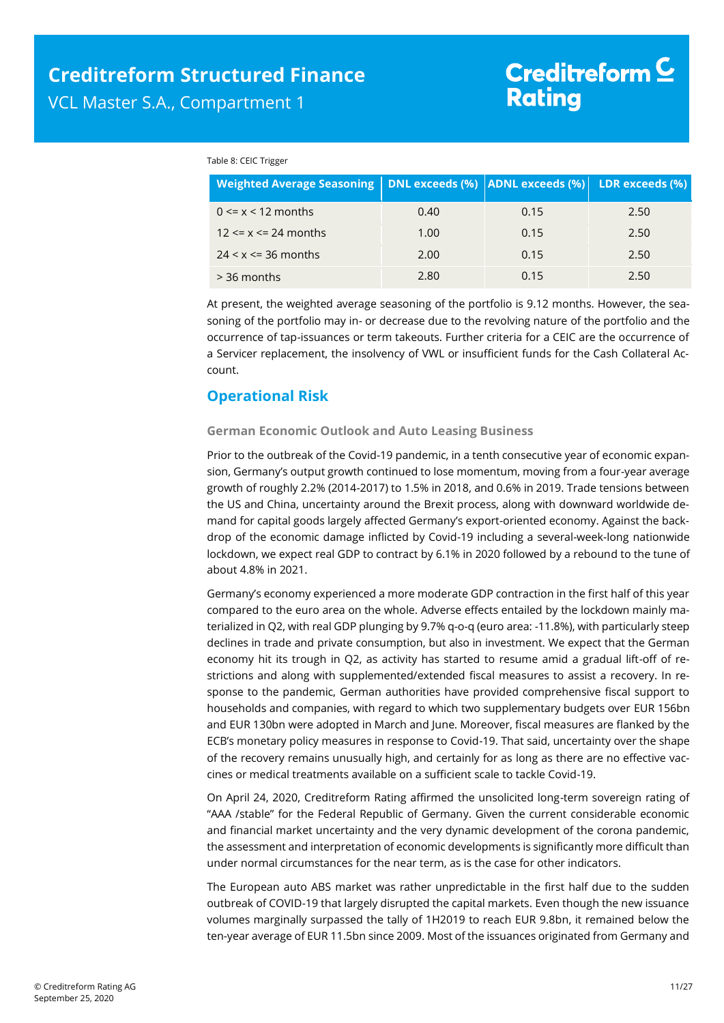#### Table 8: CEIC Trigger

| Weighted Average Seasoning   DNL exceeds (%)   ADNL exceeds (%)   LDR exceeds (%) |      |      |      |
|-----------------------------------------------------------------------------------|------|------|------|
| $0 \le x \le 12$ months                                                           | 0.40 | 0.15 | 2.50 |
| $12 \le x \le 24$ months                                                          | 1.00 | 0.15 | 2.50 |
| $24 < x \le 36$ months                                                            | 2.00 | 0.15 | 2.50 |
| $>$ 36 months                                                                     | 2.80 | 0.15 | 2.50 |

At present, the weighted average seasoning of the portfolio is 9.12 months. However, the seasoning of the portfolio may in- or decrease due to the revolving nature of the portfolio and the occurrence of tap-issuances or term takeouts. Further criteria for a CEIC are the occurrence of a Servicer replacement, the insolvency of VWL or insufficient funds for the Cash Collateral Account.

### <span id="page-10-0"></span>**Operational Risk**

### **German Economic Outlook and Auto Leasing Business**

Prior to the outbreak of the Covid-19 pandemic, in a tenth consecutive year of economic expansion, Germany's output growth continued to lose momentum, moving from a four-year average growth of roughly 2.2% (2014-2017) to 1.5% in 2018, and 0.6% in 2019. Trade tensions between the US and China, uncertainty around the Brexit process, along with downward worldwide demand for capital goods largely affected Germany's export-oriented economy. Against the backdrop of the economic damage inflicted by Covid-19 including a several-week-long nationwide lockdown, we expect real GDP to contract by 6.1% in 2020 followed by a rebound to the tune of about 4.8% in 2021.

Germany's economy experienced a more moderate GDP contraction in the first half of this year compared to the euro area on the whole. Adverse effects entailed by the lockdown mainly materialized in Q2, with real GDP plunging by 9.7% q-o-q (euro area: -11.8%), with particularly steep declines in trade and private consumption, but also in investment. We expect that the German economy hit its trough in Q2, as activity has started to resume amid a gradual lift-off of restrictions and along with supplemented/extended fiscal measures to assist a recovery. In response to the pandemic, German authorities have provided comprehensive fiscal support to households and companies, with regard to which two supplementary budgets over EUR 156bn and EUR 130bn were adopted in March and June. Moreover, fiscal measures are flanked by the ECB's monetary policy measures in response to Covid-19. That said, uncertainty over the shape of the recovery remains unusually high, and certainly for as long as there are no effective vaccines or medical treatments available on a sufficient scale to tackle Covid-19.

On April 24, 2020, Creditreform Rating affirmed the unsolicited long-term sovereign rating of "AAA /stable" for the Federal Republic of Germany. Given the current considerable economic and financial market uncertainty and the very dynamic development of the corona pandemic, the assessment and interpretation of economic developments is significantly more difficult than under normal circumstances for the near term, as is the case for other indicators.

The European auto ABS market was rather unpredictable in the first half due to the sudden outbreak of COVID-19 that largely disrupted the capital markets. Even though the new issuance volumes marginally surpassed the tally of 1H2019 to reach EUR 9.8bn, it remained below the ten-year average of EUR 11.5bn since 2009. Most of the issuances originated from Germany and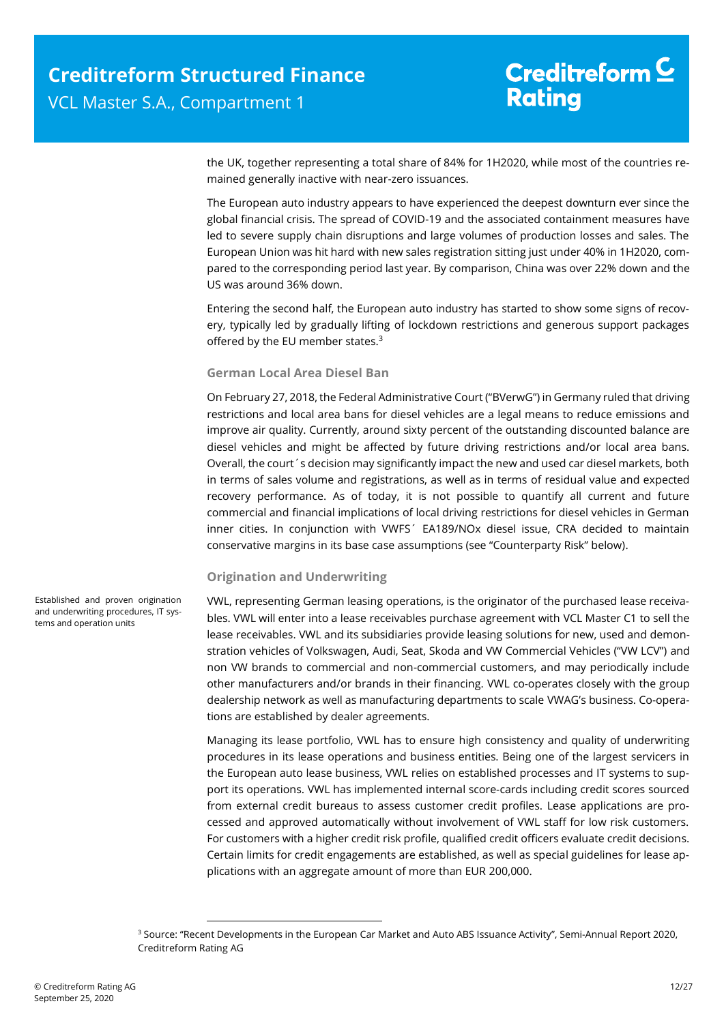the UK, together representing a total share of 84% for 1H2020, while most of the countries remained generally inactive with near-zero issuances.

The European auto industry appears to have experienced the deepest downturn ever since the global financial crisis. The spread of COVID-19 and the associated containment measures have led to severe supply chain disruptions and large volumes of production losses and sales. The European Union was hit hard with new sales registration sitting just under 40% in 1H2020, compared to the corresponding period last year. By comparison, China was over 22% down and the US was around 36% down.

Entering the second half, the European auto industry has started to show some signs of recovery, typically led by gradually lifting of lockdown restrictions and generous support packages offered by the EU member states.<sup>3</sup>

### **German Local Area Diesel Ban**

On February 27, 2018, the Federal Administrative Court ("BVerwG") in Germany ruled that driving restrictions and local area bans for diesel vehicles are a legal means to reduce emissions and improve air quality. Currently, around sixty percent of the outstanding discounted balance are diesel vehicles and might be affected by future driving restrictions and/or local area bans. Overall, the court´s decision may significantly impact the new and used car diesel markets, both in terms of sales volume and registrations, as well as in terms of residual value and expected recovery performance. As of today, it is not possible to quantify all current and future commercial and financial implications of local driving restrictions for diesel vehicles in German inner cities. In conjunction with VWFS´ EA189/NOx diesel issue, CRA decided to maintain conservative margins in its base case assumptions (see "Counterparty Risk" below).

### **Origination and Underwriting**

VWL, representing German leasing operations, is the originator of the purchased lease receivables. VWL will enter into a lease receivables purchase agreement with VCL Master C1 to sell the lease receivables. VWL and its subsidiaries provide leasing solutions for new, used and demonstration vehicles of Volkswagen, Audi, Seat, Skoda and VW Commercial Vehicles ("VW LCV") and non VW brands to commercial and non-commercial customers, and may periodically include other manufacturers and/or brands in their financing. VWL co-operates closely with the group dealership network as well as manufacturing departments to scale VWAG's business. Co-operations are established by dealer agreements.

Managing its lease portfolio, VWL has to ensure high consistency and quality of underwriting procedures in its lease operations and business entities. Being one of the largest servicers in the European auto lease business, VWL relies on established processes and IT systems to support its operations. VWL has implemented internal score-cards including credit scores sourced from external credit bureaus to assess customer credit profiles. Lease applications are processed and approved automatically without involvement of VWL staff for low risk customers. For customers with a higher credit risk profile, qualified credit officers evaluate credit decisions. Certain limits for credit engagements are established, as well as special guidelines for lease applications with an aggregate amount of more than EUR 200,000.

Established and proven origination and underwriting procedures, IT systems and operation units

1

<sup>&</sup>lt;sup>3</sup> Source: "Recent Developments in the European Car Market and Auto ABS Issuance Activity", Semi-Annual Report 2020, Creditreform Rating AG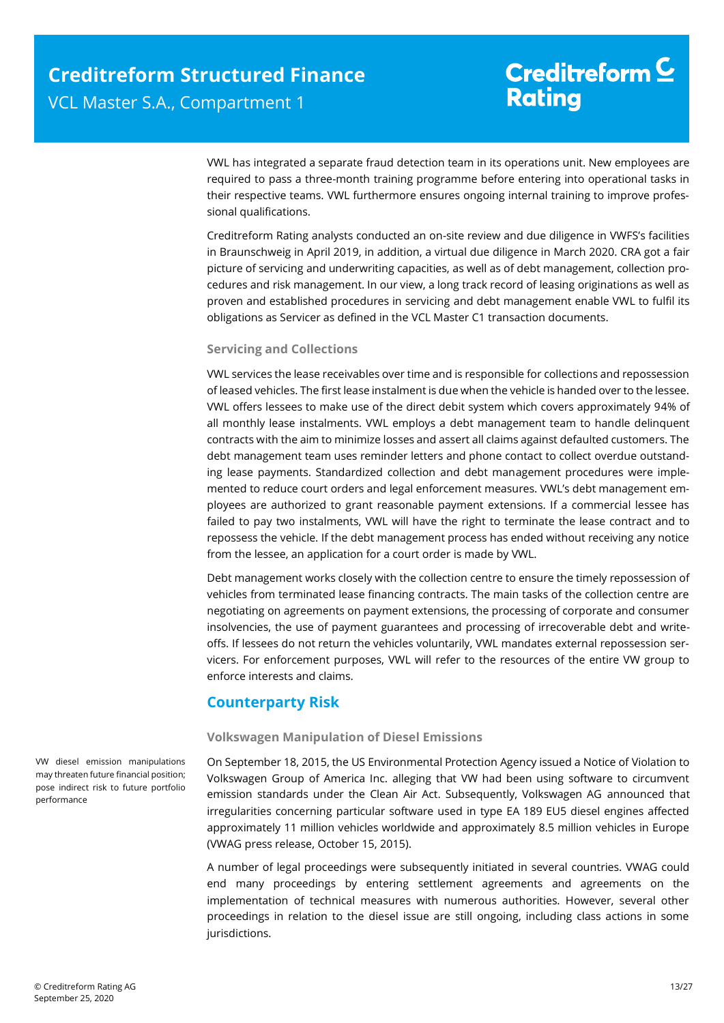VWL has integrated a separate fraud detection team in its operations unit. New employees are required to pass a three-month training programme before entering into operational tasks in their respective teams. VWL furthermore ensures ongoing internal training to improve professional qualifications.

Creditreform Rating analysts conducted an on-site review and due diligence in VWFS's facilities in Braunschweig in April 2019, in addition, a virtual due diligence in March 2020. CRA got a fair picture of servicing and underwriting capacities, as well as of debt management, collection procedures and risk management. In our view, a long track record of leasing originations as well as proven and established procedures in servicing and debt management enable VWL to fulfil its obligations as Servicer as defined in the VCL Master C1 transaction documents.

### **Servicing and Collections**

VWL services the lease receivables over time and is responsible for collections and repossession of leased vehicles. The first lease instalment is due when the vehicle is handed over to the lessee. VWL offers lessees to make use of the direct debit system which covers approximately 94% of all monthly lease instalments. VWL employs a debt management team to handle delinquent contracts with the aim to minimize losses and assert all claims against defaulted customers. The debt management team uses reminder letters and phone contact to collect overdue outstanding lease payments. Standardized collection and debt management procedures were implemented to reduce court orders and legal enforcement measures. VWL's debt management employees are authorized to grant reasonable payment extensions. If a commercial lessee has failed to pay two instalments, VWL will have the right to terminate the lease contract and to repossess the vehicle. If the debt management process has ended without receiving any notice from the lessee, an application for a court order is made by VWL.

Debt management works closely with the collection centre to ensure the timely repossession of vehicles from terminated lease financing contracts. The main tasks of the collection centre are negotiating on agreements on payment extensions, the processing of corporate and consumer insolvencies, the use of payment guarantees and processing of irrecoverable debt and writeoffs. If lessees do not return the vehicles voluntarily, VWL mandates external repossession servicers. For enforcement purposes, VWL will refer to the resources of the entire VW group to enforce interests and claims.

### <span id="page-12-0"></span>**Counterparty Risk**

### **Volkswagen Manipulation of Diesel Emissions**

On September 18, 2015, the US Environmental Protection Agency issued a Notice of Violation to Volkswagen Group of America Inc. alleging that VW had been using software to circumvent emission standards under the Clean Air Act. Subsequently, Volkswagen AG announced that irregularities concerning particular software used in type EA 189 EU5 diesel engines affected approximately 11 million vehicles worldwide and approximately 8.5 million vehicles in Europe (VWAG press release, October 15, 2015).

A number of legal proceedings were subsequently initiated in several countries. VWAG could end many proceedings by entering settlement agreements and agreements on the implementation of technical measures with numerous authorities. However, several other proceedings in relation to the diesel issue are still ongoing, including class actions in some jurisdictions.

VW diesel emission manipulations may threaten future financial position; pose indirect risk to future portfolio performance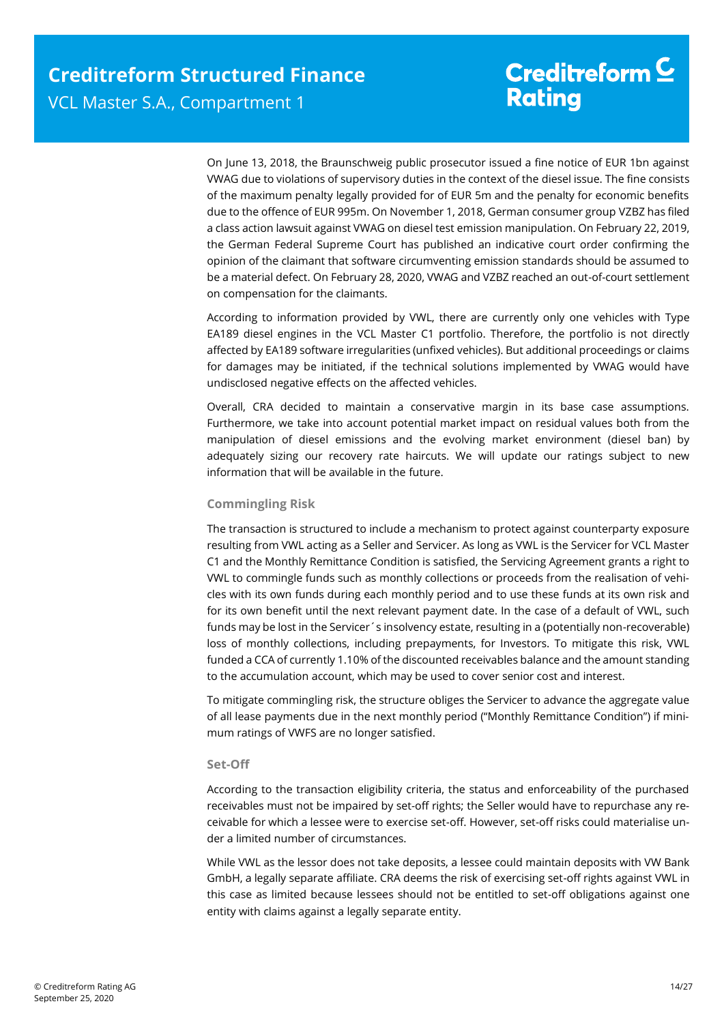On June 13, 2018, the Braunschweig public prosecutor issued a fine notice of EUR 1bn against VWAG due to violations of supervisory duties in the context of the diesel issue. The fine consists of the maximum penalty legally provided for of EUR 5m and the penalty for economic benefits due to the offence of EUR 995m. On November 1, 2018, German consumer group VZBZ has filed a class action lawsuit against VWAG on diesel test emission manipulation. On February 22, 2019, the German Federal Supreme Court has published an indicative court order confirming the opinion of the claimant that software circumventing emission standards should be assumed to be a material defect. On February 28, 2020, VWAG and VZBZ reached an out-of-court settlement on compensation for the claimants.

According to information provided by VWL, there are currently only one vehicles with Type EA189 diesel engines in the VCL Master C1 portfolio. Therefore, the portfolio is not directly affected by EA189 software irregularities (unfixed vehicles). But additional proceedings or claims for damages may be initiated, if the technical solutions implemented by VWAG would have undisclosed negative effects on the affected vehicles.

Overall, CRA decided to maintain a conservative margin in its base case assumptions. Furthermore, we take into account potential market impact on residual values both from the manipulation of diesel emissions and the evolving market environment (diesel ban) by adequately sizing our recovery rate haircuts. We will update our ratings subject to new information that will be available in the future.

### **Commingling Risk**

The transaction is structured to include a mechanism to protect against counterparty exposure resulting from VWL acting as a Seller and Servicer. As long as VWL is the Servicer for VCL Master C1 and the Monthly Remittance Condition is satisfied, the Servicing Agreement grants a right to VWL to commingle funds such as monthly collections or proceeds from the realisation of vehicles with its own funds during each monthly period and to use these funds at its own risk and for its own benefit until the next relevant payment date. In the case of a default of VWL, such funds may be lost in the Servicer's insolvency estate, resulting in a (potentially non-recoverable) loss of monthly collections, including prepayments, for Investors. To mitigate this risk, VWL funded a CCA of currently 1.10% of the discounted receivables balance and the amount standing to the accumulation account, which may be used to cover senior cost and interest.

To mitigate commingling risk, the structure obliges the Servicer to advance the aggregate value of all lease payments due in the next monthly period ("Monthly Remittance Condition") if minimum ratings of VWFS are no longer satisfied.

### **Set-Off**

According to the transaction eligibility criteria, the status and enforceability of the purchased receivables must not be impaired by set-off rights; the Seller would have to repurchase any receivable for which a lessee were to exercise set-off. However, set-off risks could materialise under a limited number of circumstances.

While VWL as the lessor does not take deposits, a lessee could maintain deposits with VW Bank GmbH, a legally separate affiliate. CRA deems the risk of exercising set-off rights against VWL in this case as limited because lessees should not be entitled to set-off obligations against one entity with claims against a legally separate entity.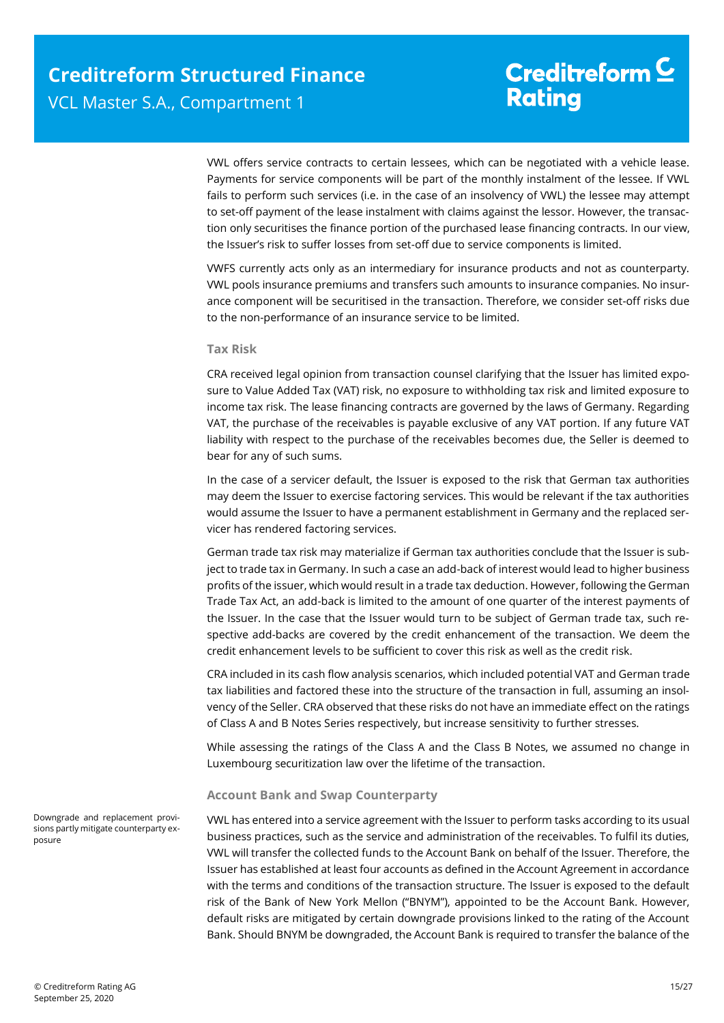VWL offers service contracts to certain lessees, which can be negotiated with a vehicle lease. Payments for service components will be part of the monthly instalment of the lessee. If VWL fails to perform such services (i.e. in the case of an insolvency of VWL) the lessee may attempt to set-off payment of the lease instalment with claims against the lessor. However, the transaction only securitises the finance portion of the purchased lease financing contracts. In our view, the Issuer's risk to suffer losses from set-off due to service components is limited.

VWFS currently acts only as an intermediary for insurance products and not as counterparty. VWL pools insurance premiums and transfers such amounts to insurance companies. No insurance component will be securitised in the transaction. Therefore, we consider set-off risks due to the non-performance of an insurance service to be limited.

#### **Tax Risk**

CRA received legal opinion from transaction counsel clarifying that the Issuer has limited exposure to Value Added Tax (VAT) risk, no exposure to withholding tax risk and limited exposure to income tax risk. The lease financing contracts are governed by the laws of Germany. Regarding VAT, the purchase of the receivables is payable exclusive of any VAT portion. If any future VAT liability with respect to the purchase of the receivables becomes due, the Seller is deemed to bear for any of such sums.

In the case of a servicer default, the Issuer is exposed to the risk that German tax authorities may deem the Issuer to exercise factoring services. This would be relevant if the tax authorities would assume the Issuer to have a permanent establishment in Germany and the replaced servicer has rendered factoring services.

German trade tax risk may materialize if German tax authorities conclude that the Issuer is subject to trade tax in Germany. In such a case an add-back of interest would lead to higher business profits of the issuer, which would result in a trade tax deduction. However, following the German Trade Tax Act, an add-back is limited to the amount of one quarter of the interest payments of the Issuer. In the case that the Issuer would turn to be subject of German trade tax, such respective add-backs are covered by the credit enhancement of the transaction. We deem the credit enhancement levels to be sufficient to cover this risk as well as the credit risk.

CRA included in its cash flow analysis scenarios, which included potential VAT and German trade tax liabilities and factored these into the structure of the transaction in full, assuming an insolvency of the Seller. CRA observed that these risks do not have an immediate effect on the ratings of Class A and B Notes Series respectively, but increase sensitivity to further stresses.

While assessing the ratings of the Class A and the Class B Notes, we assumed no change in Luxembourg securitization law over the lifetime of the transaction.

### **Account Bank and Swap Counterparty**

VWL has entered into a service agreement with the Issuer to perform tasks according to its usual business practices, such as the service and administration of the receivables. To fulfil its duties, VWL will transfer the collected funds to the Account Bank on behalf of the Issuer. Therefore, the Issuer has established at least four accounts as defined in the Account Agreement in accordance with the terms and conditions of the transaction structure. The Issuer is exposed to the default risk of the Bank of New York Mellon ("BNYM"), appointed to be the Account Bank. However, default risks are mitigated by certain downgrade provisions linked to the rating of the Account Bank. Should BNYM be downgraded, the Account Bank is required to transfer the balance of the

Downgrade and replacement provisions partly mitigate counterparty exposure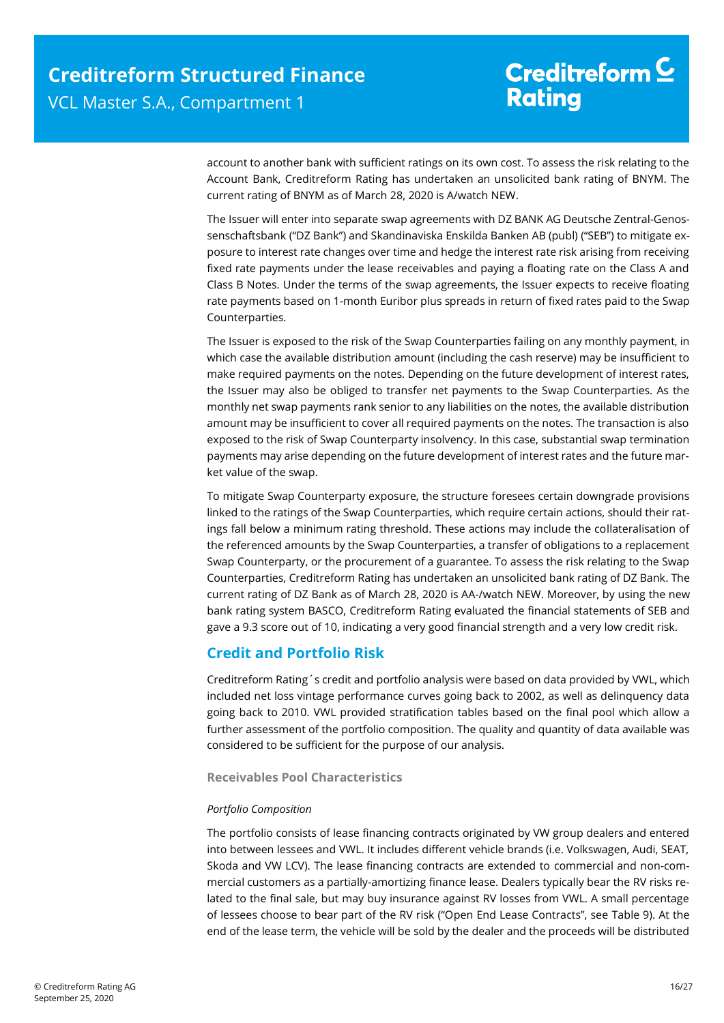account to another bank with sufficient ratings on its own cost. To assess the risk relating to the Account Bank, Creditreform Rating has undertaken an unsolicited bank rating of BNYM. The current rating of BNYM as of March 28, 2020 is A/watch NEW.

The Issuer will enter into separate swap agreements with DZ BANK AG Deutsche Zentral-Genossenschaftsbank ("DZ Bank") and Skandinaviska Enskilda Banken AB (publ) ("SEB") to mitigate exposure to interest rate changes over time and hedge the interest rate risk arising from receiving fixed rate payments under the lease receivables and paying a floating rate on the Class A and Class B Notes. Under the terms of the swap agreements, the Issuer expects to receive floating rate payments based on 1-month Euribor plus spreads in return of fixed rates paid to the Swap Counterparties.

The Issuer is exposed to the risk of the Swap Counterparties failing on any monthly payment, in which case the available distribution amount (including the cash reserve) may be insufficient to make required payments on the notes. Depending on the future development of interest rates, the Issuer may also be obliged to transfer net payments to the Swap Counterparties. As the monthly net swap payments rank senior to any liabilities on the notes, the available distribution amount may be insufficient to cover all required payments on the notes. The transaction is also exposed to the risk of Swap Counterparty insolvency. In this case, substantial swap termination payments may arise depending on the future development of interest rates and the future market value of the swap.

To mitigate Swap Counterparty exposure, the structure foresees certain downgrade provisions linked to the ratings of the Swap Counterparties, which require certain actions, should their ratings fall below a minimum rating threshold. These actions may include the collateralisation of the referenced amounts by the Swap Counterparties, a transfer of obligations to a replacement Swap Counterparty, or the procurement of a guarantee. To assess the risk relating to the Swap Counterparties, Creditreform Rating has undertaken an unsolicited bank rating of DZ Bank. The current rating of DZ Bank as of March 28, 2020 is AA-/watch NEW. Moreover, by using the new bank rating system BASCO, Creditreform Rating evaluated the financial statements of SEB and gave a 9.3 score out of 10, indicating a very good financial strength and a very low credit risk.

### <span id="page-15-0"></span>**Credit and Portfolio Risk**

Creditreform Rating´s credit and portfolio analysis were based on data provided by VWL, which included net loss vintage performance curves going back to 2002, as well as delinquency data going back to 2010. VWL provided stratification tables based on the final pool which allow a further assessment of the portfolio composition. The quality and quantity of data available was considered to be sufficient for the purpose of our analysis.

**Receivables Pool Characteristics** 

### *Portfolio Composition*

The portfolio consists of lease financing contracts originated by VW group dealers and entered into between lessees and VWL. It includes different vehicle brands (i.e. Volkswagen, Audi, SEAT, Skoda and VW LCV). The lease financing contracts are extended to commercial and non-commercial customers as a partially-amortizing finance lease. Dealers typically bear the RV risks related to the final sale, but may buy insurance against RV losses from VWL. A small percentage of lessees choose to bear part of the RV risk ("Open End Lease Contracts", see Table 9). At the end of the lease term, the vehicle will be sold by the dealer and the proceeds will be distributed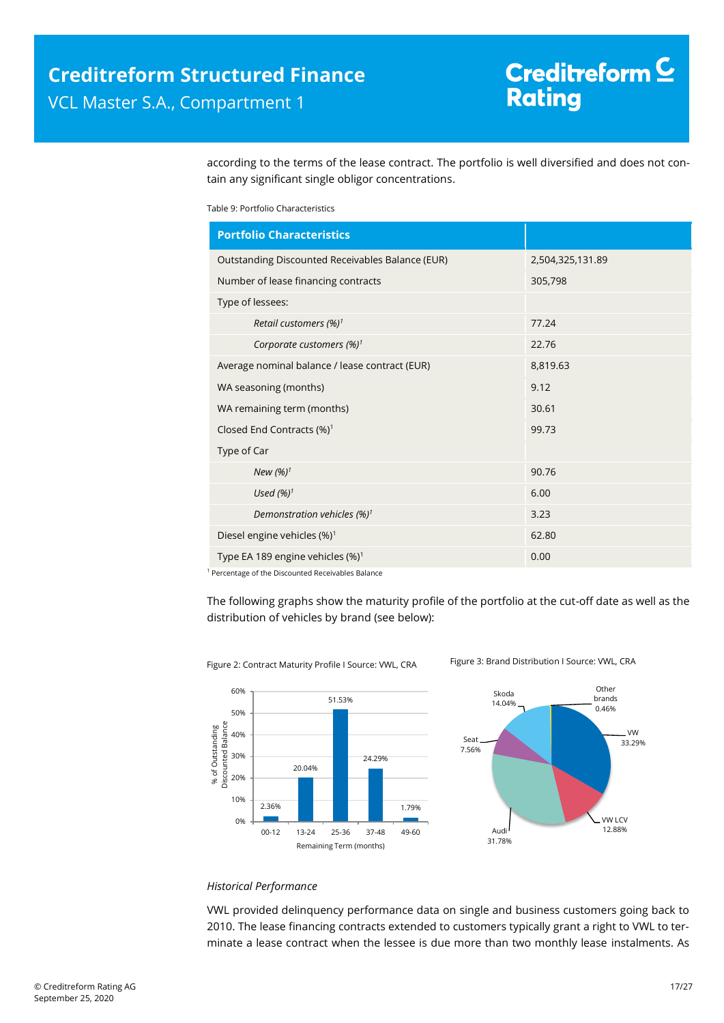according to the terms of the lease contract. The portfolio is well diversified and does not contain any significant single obligor concentrations.

Table 9: Portfolio Characteristics

| <b>Portfolio Characteristics</b>                 |                  |
|--------------------------------------------------|------------------|
| Outstanding Discounted Receivables Balance (EUR) | 2,504,325,131.89 |
| Number of lease financing contracts              | 305,798          |
| Type of lessees:                                 |                  |
| Retail customers (%) <sup>1</sup>                | 77.24            |
| Corporate customers $(\%)^1$                     | 22.76            |
| Average nominal balance / lease contract (EUR)   | 8,819.63         |
| WA seasoning (months)                            | 9.12             |
| WA remaining term (months)                       | 30.61            |
| Closed End Contracts (%) <sup>1</sup>            | 99.73            |
| Type of Car                                      |                  |
| New $(%)^1$                                      | 90.76            |
| Used $(%)1$                                      | 6.00             |
| Demonstration vehicles $(\%)^1$                  | 3.23             |
| Diesel engine vehicles (%) <sup>1</sup>          | 62.80            |
| Type EA 189 engine vehicles $(\%)^1$             | 0.00             |

<sup>1</sup> Percentage of the Discounted Receivables Balance

The following graphs show the maturity profile of the portfolio at the cut-off date as well as the distribution of vehicles by brand (see below):



Figure 2: Contract Maturity Profile I Source: VWL, CRA Figure 3: Brand Distribution I Source: VWL, CRA



#### *Historical Performance*

VWL provided delinquency performance data on single and business customers going back to 2010. The lease financing contracts extended to customers typically grant a right to VWL to terminate a lease contract when the lessee is due more than two monthly lease instalments. As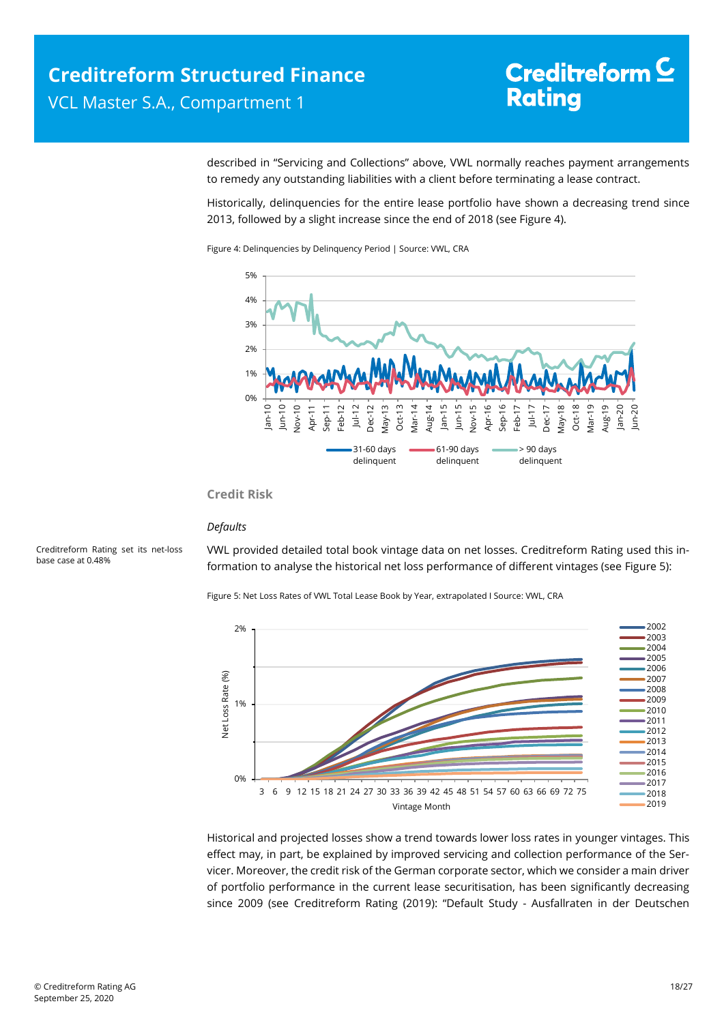described in "Servicing and Collections" above, VWL normally reaches payment arrangements to remedy any outstanding liabilities with a client before terminating a lease contract.

Historically, delinquencies for the entire lease portfolio have shown a decreasing trend since 2013, followed by a slight increase since the end of 2018 (see [Figure 4\)](#page-17-0).

<span id="page-17-0"></span>Figure 4: Delinquencies by Delinquency Period | Source: VWL, CRA



#### **Credit Risk**

#### *Defaults*

<span id="page-17-1"></span>Creditreform Rating set its net-loss base case at 0.48%

VWL provided detailed total book vintage data on net losses. Creditreform Rating used this information to analyse the historical net loss performance of different vintages (se[e Figure 5\)](#page-17-1):

Figure 5: Net Loss Rates of VWL Total Lease Book by Year, extrapolated I Source: VWL, CRA



Historical and projected losses show a trend towards lower loss rates in younger vintages. This effect may, in part, be explained by improved servicing and collection performance of the Servicer. Moreover, the credit risk of the German corporate sector, which we consider a main driver of portfolio performance in the current lease securitisation, has been significantly decreasing since 2009 (see Creditreform Rating (2019): "Default Study - Ausfallraten in der Deutschen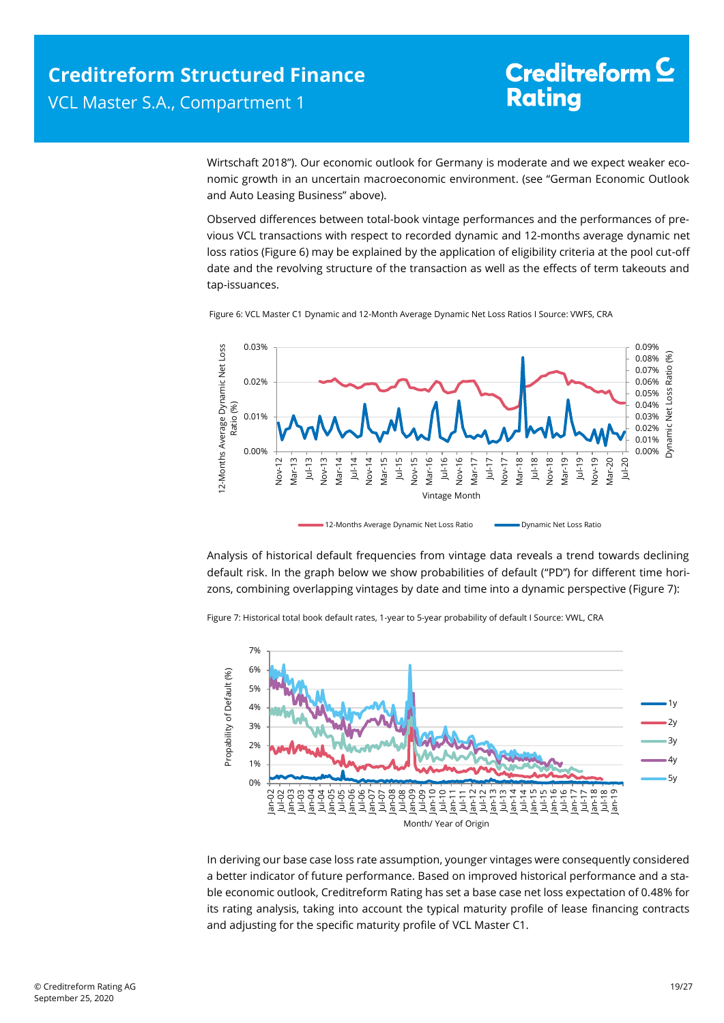Wirtschaft 2018"). Our economic outlook for Germany is moderate and we expect weaker economic growth in an uncertain macroeconomic environment. (see "German Economic Outlook and Auto Leasing Business" above).

Observed differences between total-book vintage performances and the performances of previous VCL transactions with respect to recorded dynamic and 12-months average dynamic net loss ratios [\(Figure 6\)](#page-18-0) may be explained by the application of eligibility criteria at the pool cut-off date and the revolving structure of the transaction as well as the effects of term takeouts and tap-issuances.



<span id="page-18-0"></span>Figure 6: VCL Master C1 Dynamic and 12-Month Average Dynamic Net Loss Ratios I Source: VWFS, CRA

Analysis of historical default frequencies from vintage data reveals a trend towards declining default risk. In the graph below we show probabilities of default ("PD") for different time horizons, combining overlapping vintages by date and time into a dynamic perspective [\(Figure 7\)](#page-18-1):

<span id="page-18-1"></span>Figure 7: Historical total book default rates, 1-year to 5-year probability of default I Source: VWL, CRA



In deriving our base case loss rate assumption, younger vintages were consequently considered a better indicator of future performance. Based on improved historical performance and a stable economic outlook, Creditreform Rating has set a base case net loss expectation of 0.48% for its rating analysis, taking into account the typical maturity profile of lease financing contracts and adjusting for the specific maturity profile of VCL Master C1.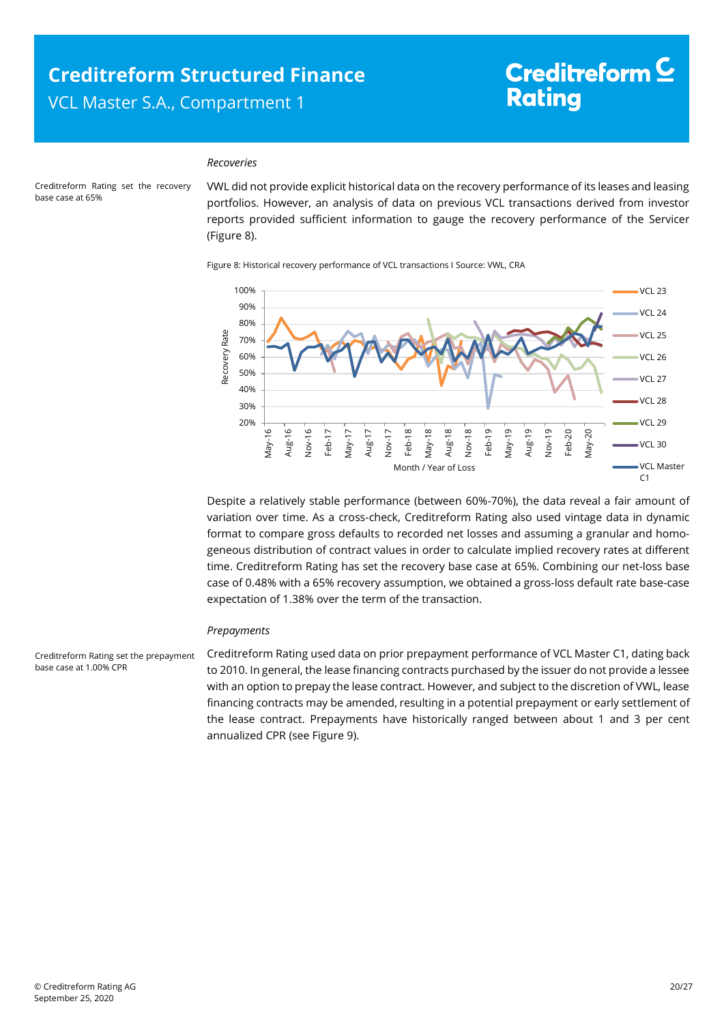### **Creditreform Structured Finance**  VCL Master S.A., Compartment 1

# Creditreform<sup>C</sup> **Rating**

#### *Recoveries*

<span id="page-19-0"></span>Creditreform Rating set the recovery base case at 65%

VWL did not provide explicit historical data on the recovery performance of its leases and leasing portfolios. However, an analysis of data on previous VCL transactions derived from investor reports provided sufficient information to gauge the recovery performance of the Servicer [\(Figure 8\)](#page-19-0).

Figure 8: Historical recovery performance of VCL transactions I Source: VWL, CRA



Despite a relatively stable performance (between 60%-70%), the data reveal a fair amount of variation over time. As a cross-check, Creditreform Rating also used vintage data in dynamic format to compare gross defaults to recorded net losses and assuming a granular and homogeneous distribution of contract values in order to calculate implied recovery rates at different time. Creditreform Rating has set the recovery base case at 65%. Combining our net-loss base case of 0.48% with a 65% recovery assumption, we obtained a gross-loss default rate base-case expectation of 1.38% over the term of the transaction.

#### *Prepayments*

Creditreform Rating used data on prior prepayment performance of VCL Master C1, dating back to 2010. In general, the lease financing contracts purchased by the issuer do not provide a lessee with an option to prepay the lease contract. However, and subject to the discretion of VWL, lease financing contracts may be amended, resulting in a potential prepayment or early settlement of the lease contract. Prepayments have historically ranged between about 1 and 3 per cent annualized CPR (se[e Figure 9\)](#page-20-1).

Creditreform Rating set the prepayment base case at 1.00% CPR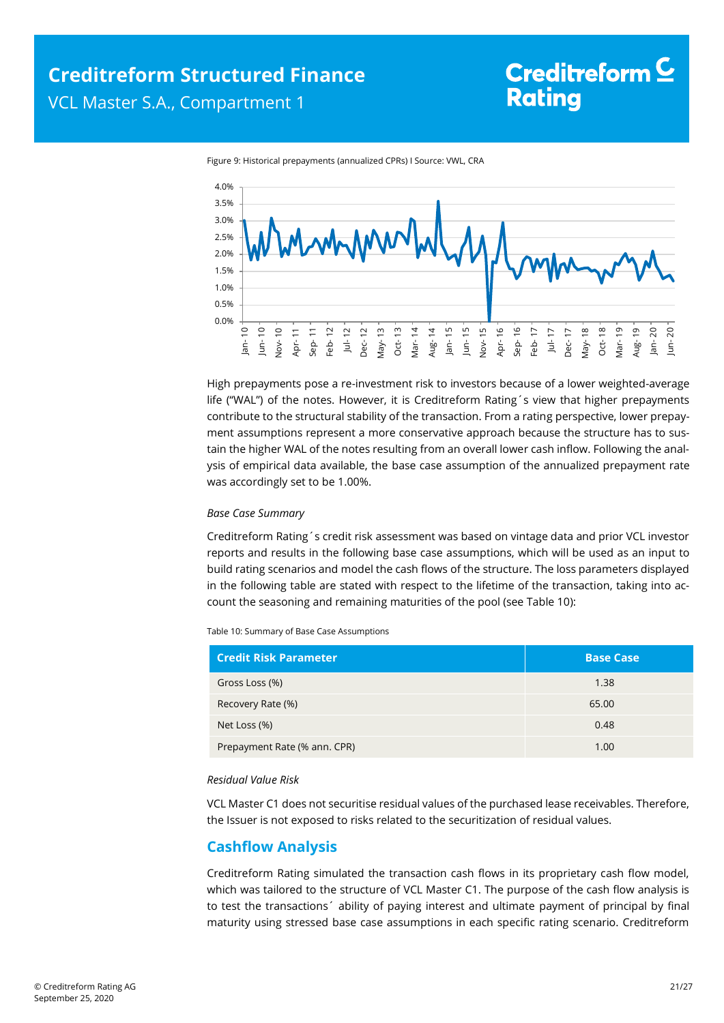<span id="page-20-1"></span>



High prepayments pose a re-investment risk to investors because of a lower weighted-average life ("WAL") of the notes. However, it is Creditreform Rating´s view that higher prepayments contribute to the structural stability of the transaction. From a rating perspective, lower prepayment assumptions represent a more conservative approach because the structure has to sustain the higher WAL of the notes resulting from an overall lower cash inflow. Following the analysis of empirical data available, the base case assumption of the annualized prepayment rate was accordingly set to be 1.00%.

#### *Base Case Summary*

Creditreform Rating´s credit risk assessment was based on vintage data and prior VCL investor reports and results in the following base case assumptions, which will be used as an input to build rating scenarios and model the cash flows of the structure. The loss parameters displayed in the following table are stated with respect to the lifetime of the transaction, taking into account the seasoning and remaining maturities of the pool (see [Table 10\)](#page-20-2):

<span id="page-20-2"></span>Table 10: Summary of Base Case Assumptions

| <b>Credit Risk Parameter</b> | <b>Base Case</b> |
|------------------------------|------------------|
| Gross Loss (%)               | 1.38             |
| Recovery Rate (%)            | 65.00            |
| Net Loss (%)                 | 0.48             |
| Prepayment Rate (% ann. CPR) | 1.00             |

#### *Residual Value Risk*

VCL Master C1 does not securitise residual values of the purchased lease receivables. Therefore, the Issuer is not exposed to risks related to the securitization of residual values.

### <span id="page-20-0"></span>**Cashflow Analysis**

Creditreform Rating simulated the transaction cash flows in its proprietary cash flow model, which was tailored to the structure of VCL Master C1. The purpose of the cash flow analysis is to test the transactions´ ability of paying interest and ultimate payment of principal by final maturity using stressed base case assumptions in each specific rating scenario. Creditreform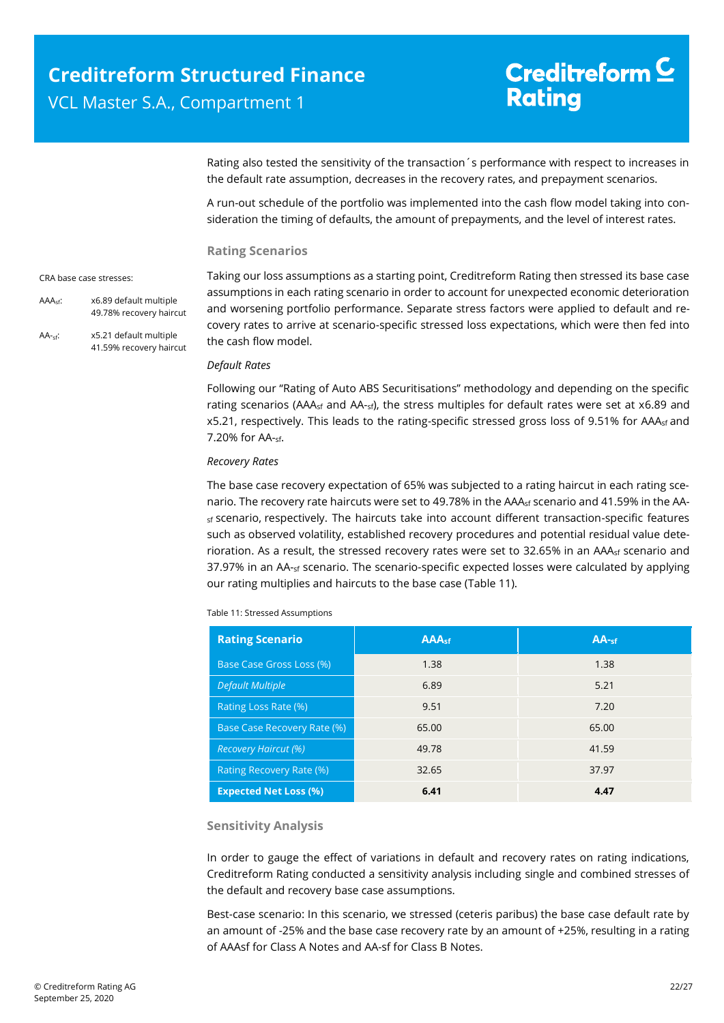Rating also tested the sensitivity of the transaction´s performance with respect to increases in the default rate assumption, decreases in the recovery rates, and prepayment scenarios.

A run-out schedule of the portfolio was implemented into the cash flow model taking into consideration the timing of defaults, the amount of prepayments, and the level of interest rates.

Taking our loss assumptions as a starting point, Creditreform Rating then stressed its base case assumptions in each rating scenario in order to account for unexpected economic deterioration

#### **Rating Scenarios**

#### CRA base case stresses:

AAAsf: x6.89 default multiple

and worsening portfolio performance. Separate stress factors were applied to default and recovery rates to arrive at scenario-specific stressed loss expectations, which were then fed into the cash flow model. 49.78% recovery haircut AA-sf: x5.21 default multiple 41.59% recovery haircut

### *Default Rates*

Following our "Rating of Auto ABS Securitisations" methodology and depending on the specific rating scenarios (AAA<sub>sf</sub> and AA-<sub>sf</sub>), the stress multiples for default rates were set at x6.89 and x5.21, respectively. This leads to the rating-specific stressed gross loss of 9.51% for AAA<sub>sf</sub> and 7.20% for AA-sf.

### *Recovery Rates*

The base case recovery expectation of 65% was subjected to a rating haircut in each rating scenario. The recovery rate haircuts were set to 49.78% in the AAA<sub>sf</sub> scenario and 41.59% in the AA- $<sub>sf</sub>$  scenario, respectively. The haircuts take into account different transaction-specific features</sub> such as observed volatility, established recovery procedures and potential residual value deterioration. As a result, the stressed recovery rates were set to 32.65% in an AAA<sub>sf</sub> scenario and 37.97% in an AA-<sub>sf</sub> scenario. The scenario-specific expected losses were calculated by applying our rating multiplies and haircuts to the base case [\(Table 11\)](#page-21-0).

<span id="page-21-0"></span>Table 11: Stressed Assumptions

| <b>Rating Scenario</b>       | <b>AAAst</b> | AA <sub>sf</sub> |
|------------------------------|--------------|------------------|
| Base Case Gross Loss (%)     | 1.38         | 1.38             |
| <b>Default Multiple</b>      | 6.89         | 5.21             |
| Rating Loss Rate (%)         | 9.51         | 7.20             |
| Base Case Recovery Rate (%)  | 65.00        | 65.00            |
| <b>Recovery Haircut (%)</b>  | 49.78        | 41.59            |
| Rating Recovery Rate (%)     | 32.65        | 37.97            |
| <b>Expected Net Loss (%)</b> | 6.41         | 4.47             |

### **Sensitivity Analysis**

In order to gauge the effect of variations in default and recovery rates on rating indications, Creditreform Rating conducted a sensitivity analysis including single and combined stresses of the default and recovery base case assumptions.

Best-case scenario: In this scenario, we stressed (ceteris paribus) the base case default rate by an amount of -25% and the base case recovery rate by an amount of +25%, resulting in a rating of AAAsf for Class A Notes and AA-sf for Class B Notes.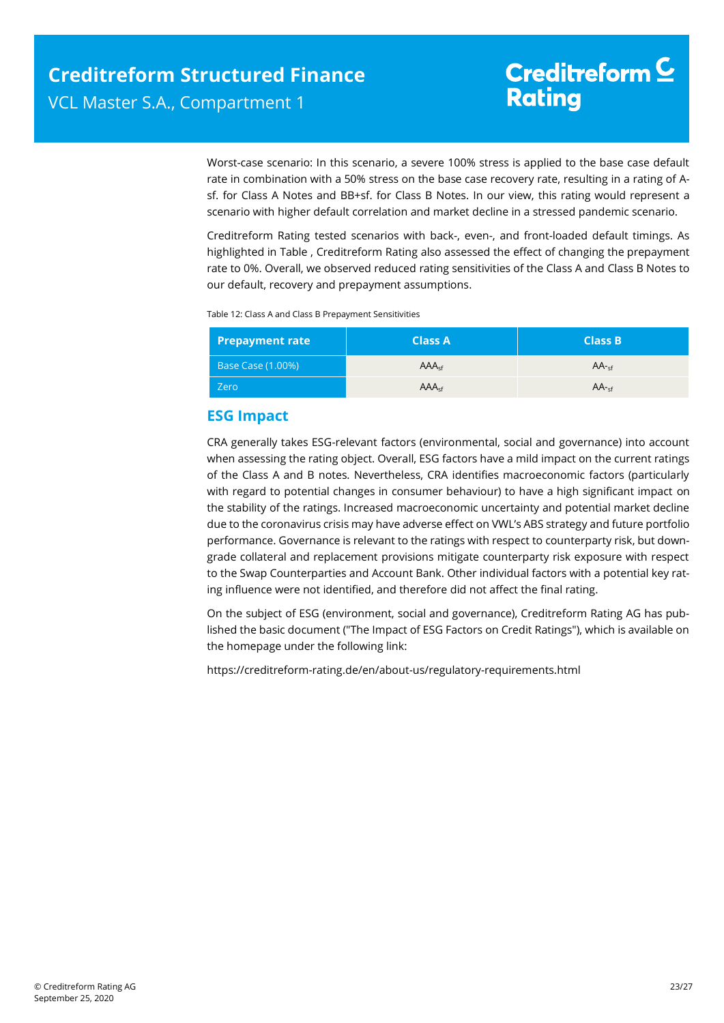Worst-case scenario: In this scenario, a severe 100% stress is applied to the base case default rate in combination with a 50% stress on the base case recovery rate, resulting in a rating of Asf. for Class A Notes and BB+sf. for Class B Notes. In our view, this rating would represent a scenario with higher default correlation and market decline in a stressed pandemic scenario.

Creditreform Rating tested scenarios with back-, even-, and front-loaded default timings. As highlighted in [Table ,](#page-22-0) Creditreform Rating also assessed the effect of changing the prepayment rate to 0%. Overall, we observed reduced rating sensitivities of the Class A and Class B Notes to our default, recovery and prepayment assumptions.

<span id="page-22-0"></span>Table 12: Class A and Class B Prepayment Sensitivities

| <b>Prepayment rate</b> | <b>Class A</b>    | <b>Class B</b> |
|------------------------|-------------------|----------------|
| Base Case (1.00%)      | AAA <sub>cf</sub> | $AA -cf$       |
| Zero                   | AAA <sub>cf</sub> | $AA$ -sf       |

### **ESG Impact**

CRA generally takes ESG-relevant factors (environmental, social and governance) into account when assessing the rating object. Overall, ESG factors have a mild impact on the current ratings of the Class A and B notes. Nevertheless, CRA identifies macroeconomic factors (particularly with regard to potential changes in consumer behaviour) to have a high significant impact on the stability of the ratings. Increased macroeconomic uncertainty and potential market decline due to the coronavirus crisis may have adverse effect on VWL's ABS strategy and future portfolio performance. Governance is relevant to the ratings with respect to counterparty risk, but downgrade collateral and replacement provisions mitigate counterparty risk exposure with respect to the Swap Counterparties and Account Bank. Other individual factors with a potential key rating influence were not identified, and therefore did not affect the final rating.

On the subject of ESG (environment, social and governance), Creditreform Rating AG has published the basic document ("The Impact of ESG Factors on Credit Ratings"), which is available on the homepage under the following link:

<https://creditreform-rating.de/en/about-us/regulatory-requirements.html>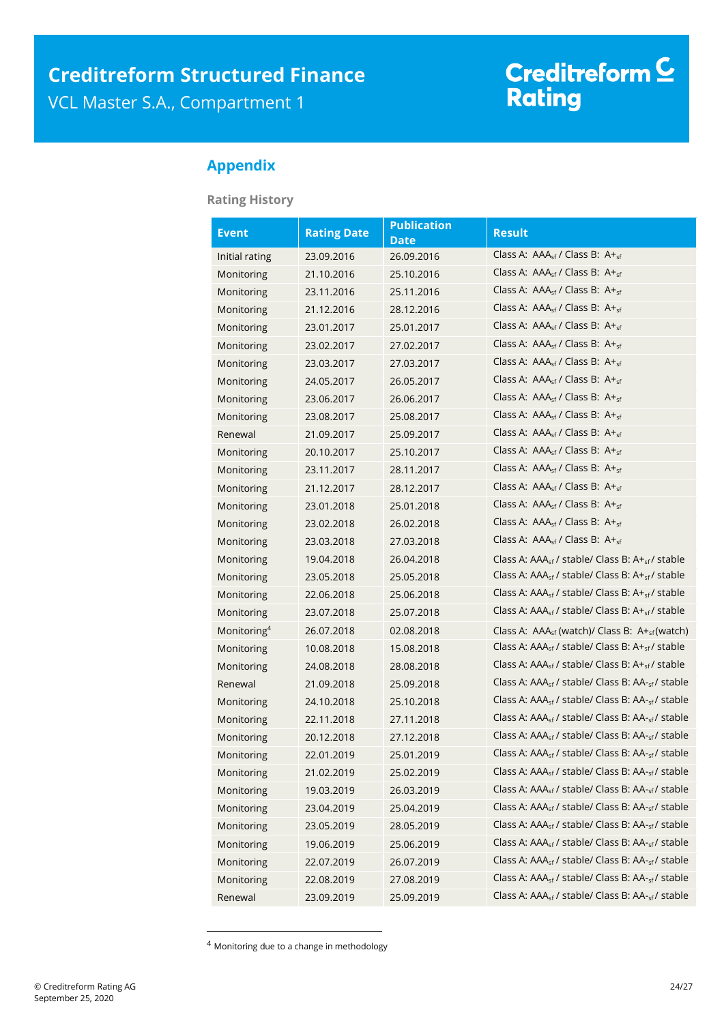# Creditreform <mark>C</mark><br>Rating

### <span id="page-23-0"></span>**Appendix**

**Rating History** 

| <b>Event</b>            | <b>Rating Date</b> | <b>Publication</b><br><b>Date</b> | <b>Result</b>                                                            |
|-------------------------|--------------------|-----------------------------------|--------------------------------------------------------------------------|
| Initial rating          | 23.09.2016         | 26.09.2016                        | Class A: $AAA_{sf}$ / Class B: $A +_{sf}$                                |
| Monitoring              | 21.10.2016         | 25.10.2016                        | Class A: $AAA_{sf}$ / Class B: $A+_{sf}$                                 |
| Monitoring              | 23.11.2016         | 25.11.2016                        | Class A: $AAA_{sf}$ / Class B: $A+_{sf}$                                 |
| Monitoring              | 21.12.2016         | 28.12.2016                        | Class A: $AAA_{sf}$ / Class B: $A+_{sf}$                                 |
| Monitoring              | 23.01.2017         | 25.01.2017                        | Class A: $AAA_{\rm sf}$ / Class B: $A +_{\rm sf}$                        |
| Monitoring              | 23.02.2017         | 27.02.2017                        | Class A: $AAA_{\rm sf}$ / Class B: $A +_{\rm sf}$                        |
| Monitoring              | 23.03.2017         | 27.03.2017                        | Class A: $AAA_{sf}$ / Class B: $A+_{sf}$                                 |
| Monitoring              | 24.05.2017         | 26.05.2017                        | Class A: $AAA_{\rm sf}$ / Class B: $A +_{\rm sf}$                        |
| Monitoring              | 23.06.2017         | 26.06.2017                        | Class A: $AAA_{sf}$ / Class B: $A +_{sf}$                                |
| Monitoring              | 23.08.2017         | 25.08.2017                        | Class A: AAA <sub>sf</sub> / Class B: A+ <sub>sf</sub>                   |
| Renewal                 | 21.09.2017         | 25.09.2017                        | Class A: AAA <sub>sf</sub> / Class B: A+ <sub>sf</sub>                   |
| Monitoring              | 20.10.2017         | 25.10.2017                        | Class A: AAA <sub>sf</sub> / Class B: A+ <sub>sf</sub>                   |
| Monitoring              | 23.11.2017         | 28.11.2017                        | Class A: $AAA_{sf}$ / Class B: $A +_{sf}$                                |
| Monitoring              | 21.12.2017         | 28.12.2017                        | Class A: $AAA_{\rm sf}$ / Class B: $A +_{\rm sf}$                        |
| Monitoring              | 23.01.2018         | 25.01.2018                        | Class A: $AAA_{\rm sf}$ / Class B: $A +_{\rm sf}$                        |
| Monitoring              | 23.02.2018         | 26.02.2018                        | Class A: $AAA_{sf}$ / Class B: $A+_{sf}$                                 |
| Monitoring              | 23.03.2018         | 27.03.2018                        | Class A: $AAA_{sf}$ / Class B: $A+_{sf}$                                 |
| Monitoring              | 19.04.2018         | 26.04.2018                        | Class A: AAA <sub>sf</sub> / stable/ Class B: A+ <sub>sf</sub> / stable  |
| Monitoring              | 23.05.2018         | 25.05.2018                        | Class A: $AAA_{sf}$ / stable/ Class B: $A+_{sf}$ / stable                |
| Monitoring              | 22.06.2018         | 25.06.2018                        | Class A: $AAA_{sf}$ / stable/ Class B: $A+_{sf}$ / stable                |
| Monitoring              | 23.07.2018         | 25.07.2018                        | Class A: AAA <sub>sf</sub> / stable/ Class B: A+ <sub>sf</sub> / stable  |
| Monitoring <sup>4</sup> | 26.07.2018         | 02.08.2018                        | Class A: AAA <sub>sf</sub> (watch)/ Class B: A+ <sub>sf</sub> (watch)    |
| Monitoring              | 10.08.2018         | 15.08.2018                        | Class A: $AAA_{sf}$ / stable/ Class B: $A+_{sf}$ / stable                |
| Monitoring              | 24.08.2018         | 28.08.2018                        | Class A: AAA <sub>sf</sub> / stable/ Class B: A+ <sub>sf</sub> / stable  |
| Renewal                 | 21.09.2018         | 25.09.2018                        | Class A: AAA <sub>sf</sub> / stable/ Class B: AA- <sub>sf</sub> / stable |
| Monitoring              | 24.10.2018         | 25.10.2018                        | Class A: AAA <sub>sf</sub> / stable/ Class B: AA- <sub>sf</sub> / stable |
| Monitoring              | 22.11.2018         | 27.11.2018                        | Class A: AAA <sub>sf</sub> / stable/ Class B: AA- <sub>sf</sub> / stable |
| Monitoring              | 20.12.2018         | 27.12.2018                        | Class A: AAA <sub>sf</sub> / stable/ Class B: AA- <sub>sf</sub> / stable |
| Monitoring              | 22.01.2019         | 25.01.2019                        | Class A: AAA <sub>sf</sub> / stable/ Class B: AA- <sub>sf</sub> / stable |
| Monitoring              | 21.02.2019         | 25.02.2019                        | Class A: AAA <sub>sf</sub> / stable/ Class B: AA- <sub>sf</sub> / stable |
| Monitoring              | 19.03.2019         | 26.03.2019                        | Class A: AAA <sub>sf</sub> / stable/ Class B: AA- <sub>sf</sub> / stable |
| Monitoring              | 23.04.2019         | 25.04.2019                        | Class A: AAA <sub>sf</sub> / stable/ Class B: AA- <sub>sf</sub> / stable |
| Monitoring              | 23.05.2019         | 28.05.2019                        | Class A: AAA <sub>sf</sub> / stable/ Class B: AA- <sub>sf</sub> / stable |
| Monitoring              | 19.06.2019         | 25.06.2019                        | Class A: AAA <sub>sf</sub> / stable/ Class B: AA- <sub>sf</sub> / stable |
| Monitoring              | 22.07.2019         | 26.07.2019                        | Class A: AAA <sub>sf</sub> / stable/ Class B: AA- <sub>sf</sub> / stable |
| Monitoring              | 22.08.2019         | 27.08.2019                        | Class A: AAA <sub>sf</sub> / stable/ Class B: AA- <sub>sf</sub> / stable |
| Renewal                 | 23.09.2019         | 25.09.2019                        | Class A: AAA <sub>sf</sub> / stable/ Class B: AA- <sub>sf</sub> / stable |

<sup>4</sup> Monitoring due to a change in methodology

1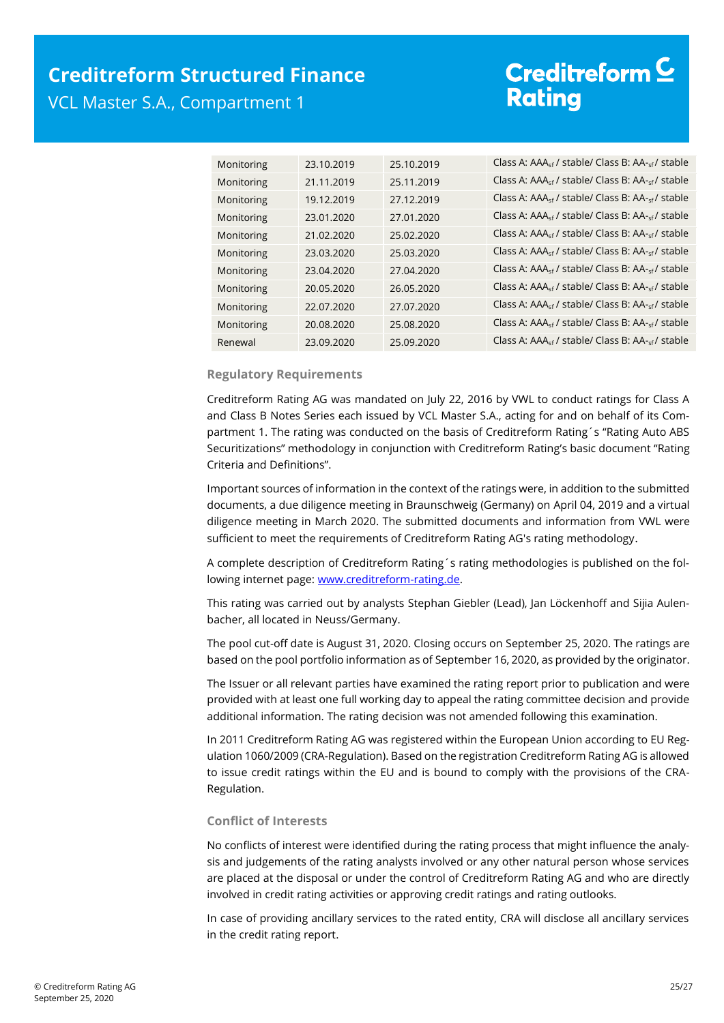### **Creditreform Structured Finance**  VCL Master S.A., Compartment 1

# Creditreform<sup>C</sup> **Rating**

| Monitoring | 23.10.2019 | 25.10.2019 | Class A: AAA <sub>sf</sub> / stable/ Class B: AA- <sub>sf</sub> / stable |
|------------|------------|------------|--------------------------------------------------------------------------|
| Monitoring | 21.11.2019 | 25.11.2019 | Class A: AAA <sub>sf</sub> / stable/ Class B: AA- <sub>sf</sub> / stable |
| Monitoring | 19.12.2019 | 27.12.2019 | Class A: AAA <sub>sf</sub> / stable/ Class B: AA- <sub>sf</sub> / stable |
| Monitoring | 23.01.2020 | 27.01.2020 | Class A: AAA <sub>sf</sub> / stable/ Class B: AA- <sub>sf</sub> / stable |
| Monitoring | 21.02.2020 | 25.02.2020 | Class A: AAA <sub>sf</sub> / stable/ Class B: AA- <sub>sf</sub> / stable |
| Monitoring | 23.03.2020 | 25.03.2020 | Class A: AAA <sub>sf</sub> / stable/ Class B: AA-sf / stable             |
| Monitoring | 23.04.2020 | 27.04.2020 | Class A: AAA <sub>sf</sub> / stable/ Class B: AA- <sub>sf</sub> / stable |
| Monitoring | 20.05.2020 | 26.05.2020 | Class A: AAA <sub>sf</sub> / stable/ Class B: AA- <sub>sf</sub> / stable |
| Monitoring | 22.07.2020 | 27.07.2020 | Class A: AAA <sub>sf</sub> / stable/ Class B: AA- <sub>sf</sub> / stable |
| Monitoring | 20.08.2020 | 25.08.2020 | Class A: AAA <sub>sf</sub> / stable/ Class B: AA- <sub>sf</sub> / stable |
| Renewal    | 23.09.2020 | 25.09.2020 | Class A: AAA <sub>sf</sub> / stable/ Class B: AA- <sub>sf</sub> / stable |

### **Regulatory Requirements**

Creditreform Rating AG was mandated on July 22, 2016 by VWL to conduct ratings for Class A and Class B Notes Series each issued by VCL Master S.A., acting for and on behalf of its Compartment 1. The rating was conducted on the basis of Creditreform Rating´s "Rating Auto ABS Securitizations" methodology in conjunction with Creditreform Rating's basic document "Rating Criteria and Definitions".

Important sources of information in the context of the ratings were, in addition to the submitted documents, a due diligence meeting in Braunschweig (Germany) on April 04, 2019 and a virtual diligence meeting in March 2020. The submitted documents and information from VWL were sufficient to meet the requirements of Creditreform Rating AG's rating methodology.

A complete description of Creditreform Rating´s rating methodologies is published on the following internet page: [www.creditreform-rating.de.](http://www.creditreform-rating.de/)

This rating was carried out by analysts Stephan Giebler (Lead), Jan Löckenhoff and Sijia Aulenbacher, all located in Neuss/Germany.

The pool cut-off date is August 31, 2020. Closing occurs on September 25, 2020. The ratings are based on the pool portfolio information as of September 16, 2020, as provided by the originator.

The Issuer or all relevant parties have examined the rating report prior to publication and were provided with at least one full working day to appeal the rating committee decision and provide additional information. The rating decision was not amended following this examination.

In 2011 Creditreform Rating AG was registered within the European Union according to EU Regulation 1060/2009 (CRA-Regulation). Based on the registration Creditreform Rating AG is allowed to issue credit ratings within the EU and is bound to comply with the provisions of the CRA-Regulation.

### **Conflict of Interests**

No conflicts of interest were identified during the rating process that might influence the analysis and judgements of the rating analysts involved or any other natural person whose services are placed at the disposal or under the control of Creditreform Rating AG and who are directly involved in credit rating activities or approving credit ratings and rating outlooks.

In case of providing ancillary services to the rated entity, CRA will disclose all ancillary services in the credit rating report.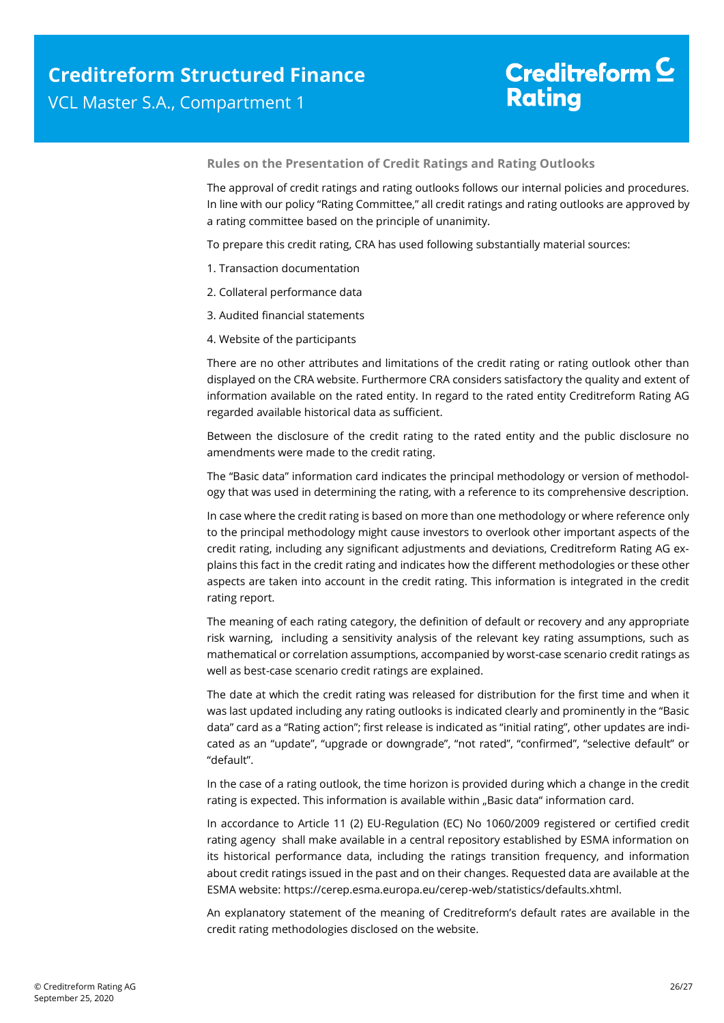**Rules on the Presentation of Credit Ratings and Rating Outlooks** 

The approval of credit ratings and rating outlooks follows our internal policies and procedures. In line with our policy "Rating Committee," all credit ratings and rating outlooks are approved by a rating committee based on the principle of unanimity.

To prepare this credit rating, CRA has used following substantially material sources:

- 1. Transaction documentation
- 2. Collateral performance data
- 3. Audited financial statements
- 4. Website of the participants

There are no other attributes and limitations of the credit rating or rating outlook other than displayed on the CRA website. Furthermore CRA considers satisfactory the quality and extent of information available on the rated entity. In regard to the rated entity Creditreform Rating AG regarded available historical data as sufficient.

Between the disclosure of the credit rating to the rated entity and the public disclosure no amendments were made to the credit rating.

The "Basic data" information card indicates the principal methodology or version of methodology that was used in determining the rating, with a reference to its comprehensive description.

In case where the credit rating is based on more than one methodology or where reference only to the principal methodology might cause investors to overlook other important aspects of the credit rating, including any significant adjustments and deviations, Creditreform Rating AG explains this fact in the credit rating and indicates how the different methodologies or these other aspects are taken into account in the credit rating. This information is integrated in the credit rating report.

The meaning of each rating category, the definition of default or recovery and any appropriate risk warning, including a sensitivity analysis of the relevant key rating assumptions, such as mathematical or correlation assumptions, accompanied by worst-case scenario credit ratings as well as best-case scenario credit ratings are explained.

The date at which the credit rating was released for distribution for the first time and when it was last updated including any rating outlooks is indicated clearly and prominently in the "Basic data" card as a "Rating action"; first release is indicated as "initial rating", other updates are indicated as an "update", "upgrade or downgrade", "not rated", "confirmed", "selective default" or "default".

In the case of a rating outlook, the time horizon is provided during which a change in the credit rating is expected. This information is available within "Basic data" information card.

In accordance to Article 11 (2) EU-Regulation (EC) No 1060/2009 registered or certified credit rating agency shall make available in a central repository established by ESMA information on its historical performance data, including the ratings transition frequency, and information about credit ratings issued in the past and on their changes. Requested data are available at the ESMA website: https://cerep.esma.europa.eu/cerep-web/statistics/defaults.xhtml.

An explanatory statement of the meaning of Creditreform's default rates are available in the credit rating methodologies disclosed on the website.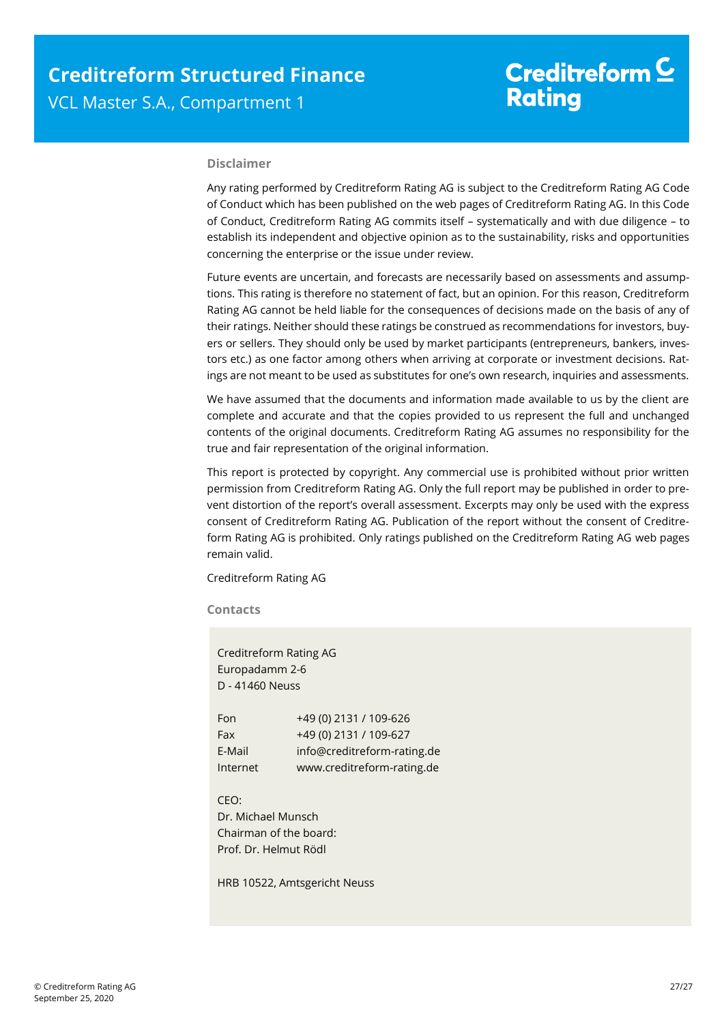### **Disclaimer**

Any rating performed by Creditreform Rating AG is subject to the Creditreform Rating AG Code of Conduct which has been published on the web pages of Creditreform Rating AG. In this Code of Conduct, Creditreform Rating AG commits itself – systematically and with due diligence – to establish its independent and objective opinion as to the sustainability, risks and opportunities concerning the enterprise or the issue under review.

Future events are uncertain, and forecasts are necessarily based on assessments and assumptions. This rating is therefore no statement of fact, but an opinion. For this reason, Creditreform Rating AG cannot be held liable for the consequences of decisions made on the basis of any of their ratings. Neither should these ratings be construed as recommendations for investors, buyers or sellers. They should only be used by market participants (entrepreneurs, bankers, investors etc.) as one factor among others when arriving at corporate or investment decisions. Ratings are not meant to be used as substitutes for one's own research, inquiries and assessments.

We have assumed that the documents and information made available to us by the client are complete and accurate and that the copies provided to us represent the full and unchanged contents of the original documents. Creditreform Rating AG assumes no responsibility for the true and fair representation of the original information.

This report is protected by copyright. Any commercial use is prohibited without prior written permission from Creditreform Rating AG. Only the full report may be published in order to prevent distortion of the report's overall assessment. Excerpts may only be used with the express consent of Creditreform Rating AG. Publication of the report without the consent of Creditreform Rating AG is prohibited. Only ratings published on the Creditreform Rating AG web pages remain valid.

Creditreform Rating AG

**Contacts** 

Creditreform Rating AG Europadamm 2-6 D - 41460 Neuss

| Fon      | +49 (0) 2131 / 109-626      |
|----------|-----------------------------|
| Fax      | +49 (0) 2131 / 109-627      |
| E-Mail   | info@creditreform-rating.de |
| Internet | www.creditreform-rating.de  |

CEO: Dr. Michael Munsch Chairman of the board: Prof. Dr. Helmut Rödl

HRB 10522, Amtsgericht Neuss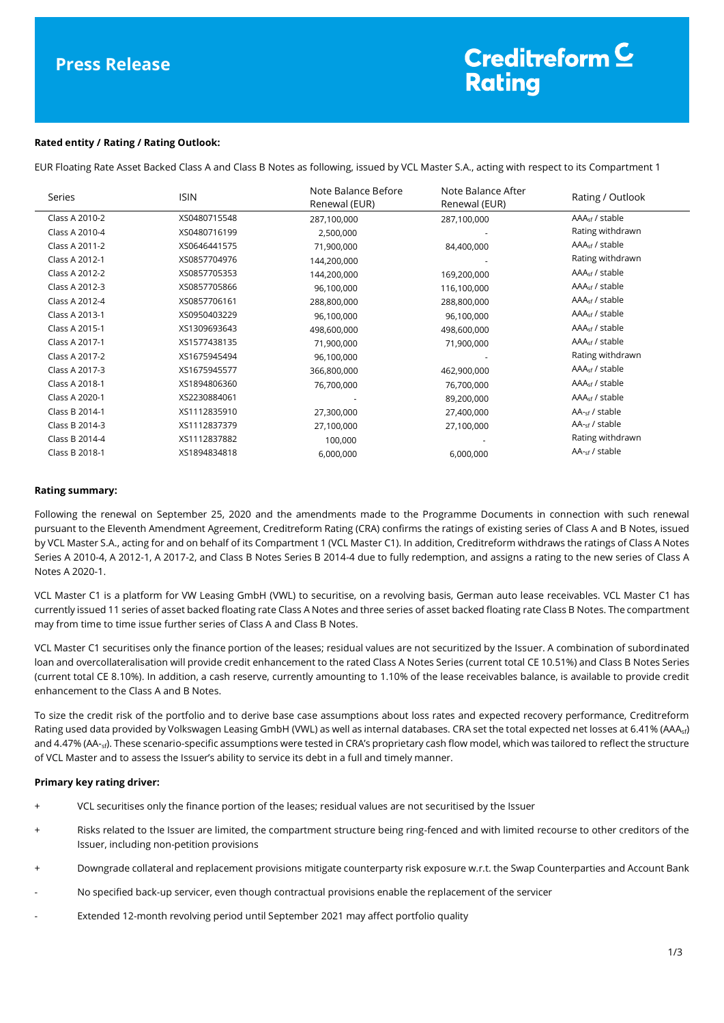#### **Rated entity / Rating / Rating Outlook:**

EUR Floating Rate Asset Backed Class A and Class B Notes as following, issued by VCL Master S.A., acting with respect to its Compartment 1

| Series         | <b>ISIN</b>  | Note Balance Before<br>Renewal (EUR) | Note Balance After<br>Renewal (EUR) | Rating / Outlook           |
|----------------|--------------|--------------------------------------|-------------------------------------|----------------------------|
| Class A 2010-2 | XS0480715548 | 287,100,000                          | 287,100,000                         | $AAAsf$ / stable           |
| Class A 2010-4 | XS0480716199 | 2,500,000                            |                                     | Rating withdrawn           |
| Class A 2011-2 | XS0646441575 | 71,900,000                           | 84,400,000                          | $AAAsf$ / stable           |
| Class A 2012-1 | XS0857704976 | 144,200,000                          |                                     | Rating withdrawn           |
| Class A 2012-2 | XS0857705353 | 144,200,000                          | 169,200,000                         | $AAAsf$ / stable           |
| Class A 2012-3 | XS0857705866 | 96,100,000                           | 116,100,000                         | AAA <sub>sf</sub> / stable |
| Class A 2012-4 | XS0857706161 | 288,800,000                          | 288,800,000                         | $AAAsf$ / stable           |
| Class A 2013-1 | XS0950403229 | 96,100,000                           | 96,100,000                          | AAA <sub>sf</sub> / stable |
| Class A 2015-1 | XS1309693643 | 498,600,000                          | 498,600,000                         | $AAAsf$ / stable           |
| Class A 2017-1 | XS1577438135 | 71,900,000                           | 71,900,000                          | $AAAsf$ / stable           |
| Class A 2017-2 | XS1675945494 | 96,100,000                           |                                     | Rating withdrawn           |
| Class A 2017-3 | XS1675945577 | 366,800,000                          | 462,900,000                         | AAA <sub>sf</sub> / stable |
| Class A 2018-1 | XS1894806360 | 76,700,000                           | 76,700,000                          | $AAAsf$ / stable           |
| Class A 2020-1 | XS2230884061 |                                      | 89,200,000                          | AAA <sub>sf</sub> / stable |
| Class B 2014-1 | XS1112835910 | 27,300,000                           | 27,400,000                          | $AA_{\text{sf}}$ / stable  |
| Class B 2014-3 | XS1112837379 | 27,100,000                           | 27,100,000                          | AA- <sub>sf</sub> / stable |
| Class B 2014-4 | XS1112837882 | 100,000                              |                                     | Rating withdrawn           |
| Class B 2018-1 | XS1894834818 | 6,000,000                            | 6,000,000                           | $AA_{\text{sf}}$ / stable  |

#### **Rating summary:**

Following the renewal on September 25, 2020 and the amendments made to the Programme Documents in connection with such renewal pursuant to the Eleventh Amendment Agreement, Creditreform Rating (CRA) confirms the ratings of existing series of Class A and B Notes, issued by VCL Master S.A., acting for and on behalf of its Compartment 1 (VCL Master C1). In addition, Creditreform withdraws the ratings of Class A Notes Series A 2010-4, A 2012-1, A 2017-2, and Class B Notes Series B 2014-4 due to fully redemption, and assigns a rating to the new series of Class A Notes A 2020-1.

VCL Master C1 is a platform for VW Leasing GmbH (VWL) to securitise, on a revolving basis, German auto lease receivables. VCL Master C1 has currently issued 11 series of asset backed floating rate Class A Notes and three series of asset backed floating rate Class B Notes. The compartment may from time to time issue further series of Class A and Class B Notes.

VCL Master C1 securitises only the finance portion of the leases; residual values are not securitized by the Issuer. A combination of subordinated loan and overcollateralisation will provide credit enhancement to the rated Class A Notes Series (current total CE 10.51%) and Class B Notes Series (current total CE 8.10%). In addition, a cash reserve, currently amounting to 1.10% of the lease receivables balance, is available to provide credit enhancement to the Class A and B Notes.

To size the credit risk of the portfolio and to derive base case assumptions about loss rates and expected recovery performance, Creditreform Rating used data provided by Volkswagen Leasing GmbH (VWL) as well as internal databases. CRA set the total expected net losses at 6.41% (AAA<sub>sf</sub>) and 4.47% (AA-<sub>sf</sub>). These scenario-specific assumptions were tested in CRA's proprietary cash flow model, which was tailored to reflect the structure of VCL Master and to assess the Issuer's ability to service its debt in a full and timely manner.

#### **Primary key rating driver:**

- + VCL securitises only the finance portion of the leases; residual values are not securitised by the Issuer
- + Risks related to the Issuer are limited, the compartment structure being ring-fenced and with limited recourse to other creditors of the Issuer, including non-petition provisions
- + Downgrade collateral and replacement provisions mitigate counterparty risk exposure w.r.t. the Swap Counterparties and Account Bank
- No specified back-up servicer, even though contractual provisions enable the replacement of the servicer
- Extended 12-month revolving period until September 2021 may affect portfolio quality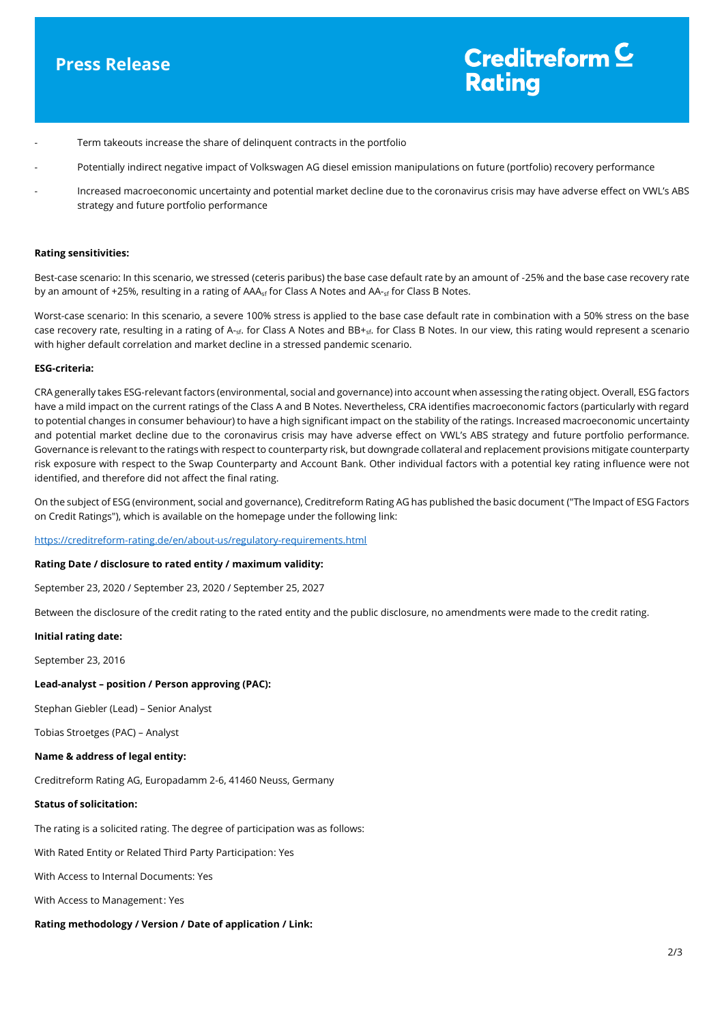### **Press Release**

### Creditreform  $\underline{\mathsf{C}}$ **Rating**

- Term takeouts increase the share of delinguent contracts in the portfolio
- Potentially indirect negative impact of Volkswagen AG diesel emission manipulations on future (portfolio) recovery performance
- Increased macroeconomic uncertainty and potential market decline due to the coronavirus crisis may have adverse effect on VWL's ABS strategy and future portfolio performance

#### **Rating sensitivities:**

Best-case scenario: In this scenario, we stressed (ceteris paribus) the base case default rate by an amount of -25% and the base case recovery rate by an amount of +25%, resulting in a rating of AAA<sub>sf</sub> for Class A Notes and AA-<sub>sf</sub> for Class B Notes.

Worst-case scenario: In this scenario, a severe 100% stress is applied to the base case default rate in combination with a 50% stress on the base case recovery rate, resulting in a rating of A-<sub>sf</sub>. for Class A Notes and BB+<sub>sf</sub>. for Class B Notes. In our view, this rating would represent a scenario with higher default correlation and market decline in a stressed pandemic scenario.

#### **ESG-criteria:**

CRA generally takes ESG-relevant factors (environmental, social and governance) into account when assessing the rating object. Overall, ESG factors have a mild impact on the current ratings of the Class A and B Notes. Nevertheless, CRA identifies macroeconomic factors (particularly with regard to potential changes in consumer behaviour) to have a high significant impact on the stability of the ratings. Increased macroeconomic uncertainty and potential market decline due to the coronavirus crisis may have adverse effect on VWL's ABS strategy and future portfolio performance. Governance is relevant to the ratings with respect to counterparty risk, but downgrade collateral and replacement provisions mitigate counterparty risk exposure with respect to the Swap Counterparty and Account Bank. Other individual factors with a potential key rating influence were not identified, and therefore did not affect the final rating.

On the subject of ESG (environment, social and governance), Creditreform Rating AG has published the basic document ("The Impact of ESG Factors on Credit Ratings"), which is available on the homepage under the following link:

<https://creditreform-rating.de/en/about-us/regulatory-requirements.html>

#### **Rating Date / disclosure to rated entity / maximum validity:**

September 23, 2020 / September 23, 2020 / September 25, 2027

Between the disclosure of the credit rating to the rated entity and the public disclosure, no amendments were made to the credit rating.

#### **Initial rating date:**

September 23, 2016

#### **Lead-analyst – position / Person approving (PAC):**

Stephan Giebler (Lead) – Senior Analyst

Tobias Stroetges (PAC) – Analyst

#### **Name & address of legal entity:**

Creditreform Rating AG, Europadamm 2-6, 41460 Neuss, Germany

#### **Status of solicitation:**

The rating is a solicited rating. The degree of participation was as follows:

With Rated Entity or Related Third Party Participation: Yes

With Access to Internal Documents: Yes

With Access to Management : Yes

#### **Rating methodology / Version / Date of application / Link:**